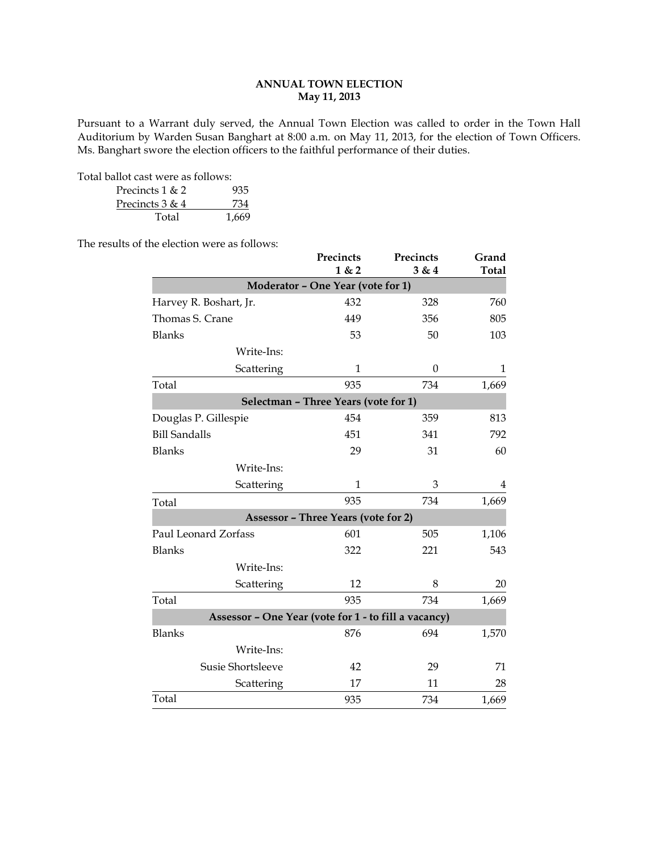# **ANNUAL TOWN ELECTION May 11, 2013**

Pursuant to a Warrant duly served, the Annual Town Election was called to order in the Town Hall Auditorium by Warden Susan Banghart at 8:00 a.m. on May 11, 2013, for the election of Town Officers. Ms. Banghart swore the election officers to the faithful performance of their duties.

Total ballot cast were as follows:

| Precincts $1 & 2$ | 935   |
|-------------------|-------|
| Precincts $3 & 4$ | 734   |
| Total             | 1.669 |

The results of the election were as follows:

|                                                      | Precincts<br>1 & 2                         | Precincts<br>3 & 4 | Grand<br><b>Total</b> |
|------------------------------------------------------|--------------------------------------------|--------------------|-----------------------|
|                                                      | Moderator - One Year (vote for 1)          |                    |                       |
| Harvey R. Boshart, Jr.                               | 432                                        | 328                | 760                   |
| Thomas S. Crane                                      | 449                                        | 356                | 805                   |
| <b>Blanks</b>                                        | 53                                         | 50                 | 103                   |
| Write-Ins:                                           |                                            |                    |                       |
| Scattering                                           | $\mathbf{1}$                               | $\Omega$           | 1                     |
| Total                                                | 935                                        | 734                | 1,669                 |
|                                                      | Selectman - Three Years (vote for 1)       |                    |                       |
| Douglas P. Gillespie                                 | 454                                        | 359                | 813                   |
| <b>Bill Sandalls</b>                                 | 451                                        | 341                | 792                   |
| <b>Blanks</b>                                        | 29                                         | 31                 | 60                    |
| Write-Ins:                                           |                                            |                    |                       |
| Scattering                                           | $\mathbf{1}$                               | 3                  | 4                     |
| Total                                                | 935                                        | 734                | 1,669                 |
|                                                      | <b>Assessor - Three Years (vote for 2)</b> |                    |                       |
| Paul Leonard Zorfass                                 | 601                                        | 505                | 1,106                 |
| <b>Blanks</b>                                        | 322                                        | 221                | 543                   |
| Write-Ins:                                           |                                            |                    |                       |
| Scattering                                           | 12                                         | 8                  | 20                    |
| Total                                                | 935                                        | 734                | 1,669                 |
| Assessor - One Year (vote for 1 - to fill a vacancy) |                                            |                    |                       |
| <b>Blanks</b>                                        | 876                                        | 694                | 1,570                 |
| Write-Ins:                                           |                                            |                    |                       |
| Susie Shortsleeve                                    | 42                                         | 29                 | 71                    |
| Scattering                                           | 17                                         | 11                 | 28                    |
| Total                                                | 935                                        | 734                | 1,669                 |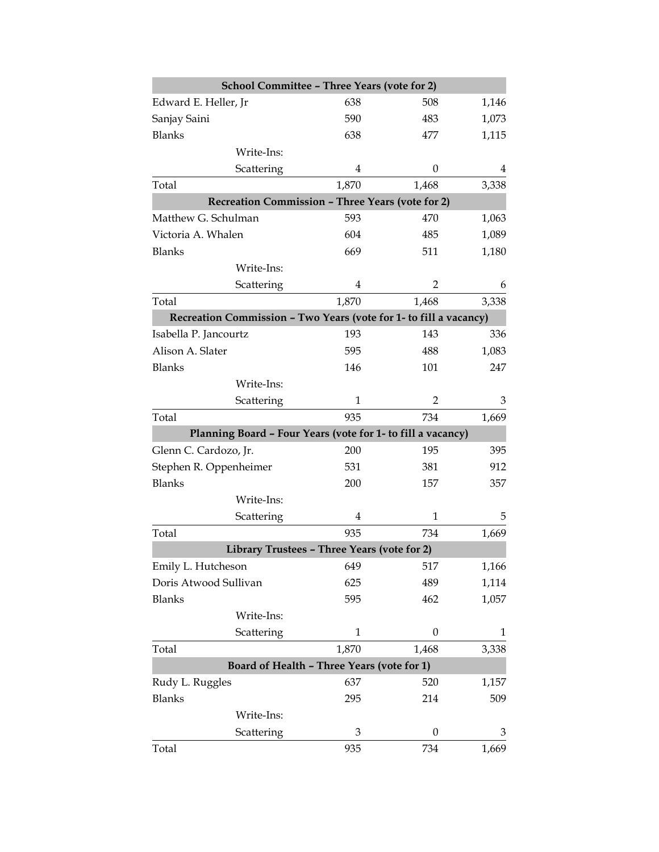| School Committee - Three Years (vote for 2)                       |                |                  |       |
|-------------------------------------------------------------------|----------------|------------------|-------|
| Edward E. Heller, Jr                                              | 638            | 508              | 1,146 |
| Sanjay Saini                                                      | 590            | 483              | 1,073 |
| <b>Blanks</b>                                                     | 638            | 477              | 1,115 |
| Write-Ins:                                                        |                |                  |       |
| Scattering                                                        | 4              | 0                | 4     |
| Total                                                             | 1,870          | 1,468            | 3,338 |
| <b>Recreation Commission - Three Years (vote for 2)</b>           |                |                  |       |
| Matthew G. Schulman                                               | 593            | 470              | 1,063 |
| Victoria A. Whalen                                                | 604            | 485              | 1,089 |
| <b>Blanks</b>                                                     | 669            | 511              | 1,180 |
| Write-Ins:                                                        |                |                  |       |
| Scattering                                                        | 4              | 2                | 6     |
| Total                                                             | 1,870          | 1,468            | 3,338 |
| Recreation Commission - Two Years (vote for 1- to fill a vacancy) |                |                  |       |
| Isabella P. Jancourtz                                             | 193            | 143              | 336   |
| Alison A. Slater                                                  | 595            | 488              | 1,083 |
| <b>Blanks</b>                                                     | 146            | 101              | 247   |
| Write-Ins:                                                        |                |                  |       |
| Scattering                                                        | $\mathbf{1}$   | 2                | 3     |
| Total                                                             | 935            | 734              | 1,669 |
| Planning Board - Four Years (vote for 1- to fill a vacancy)       |                |                  |       |
| Glenn C. Cardozo, Jr.                                             | 200            | 195              | 395   |
| Stephen R. Oppenheimer                                            | 531            | 381              | 912   |
| <b>Blanks</b>                                                     | 200            | 157              | 357   |
| Write-Ins:                                                        |                |                  |       |
| Scattering                                                        | $\overline{4}$ | 1                | 5     |
| Total                                                             | 935            | 734              | 1,669 |
| Library Trustees - Three Years (vote for 2)                       |                |                  |       |
| Emily L. Hutcheson                                                | 649            | 517              | 1,166 |
| Doris Atwood Sullivan                                             | 625            | 489              | 1,114 |
| Blanks                                                            | 595            | 462              | 1,057 |
| Write-Ins:                                                        |                |                  |       |
| Scattering                                                        | $\mathbf{1}$   | $\boldsymbol{0}$ | 1     |
| Total                                                             | 1,870          | 1,468            | 3,338 |
| Board of Health - Three Years (vote for 1)                        |                |                  |       |
| Rudy L. Ruggles                                                   | 637            | 520              | 1,157 |
| <b>Blanks</b>                                                     | 295            | 214              | 509   |
| Write-Ins:                                                        |                |                  |       |
| Scattering                                                        | 3              | 0                | 3     |
| Total                                                             | 935            | 734              | 1,669 |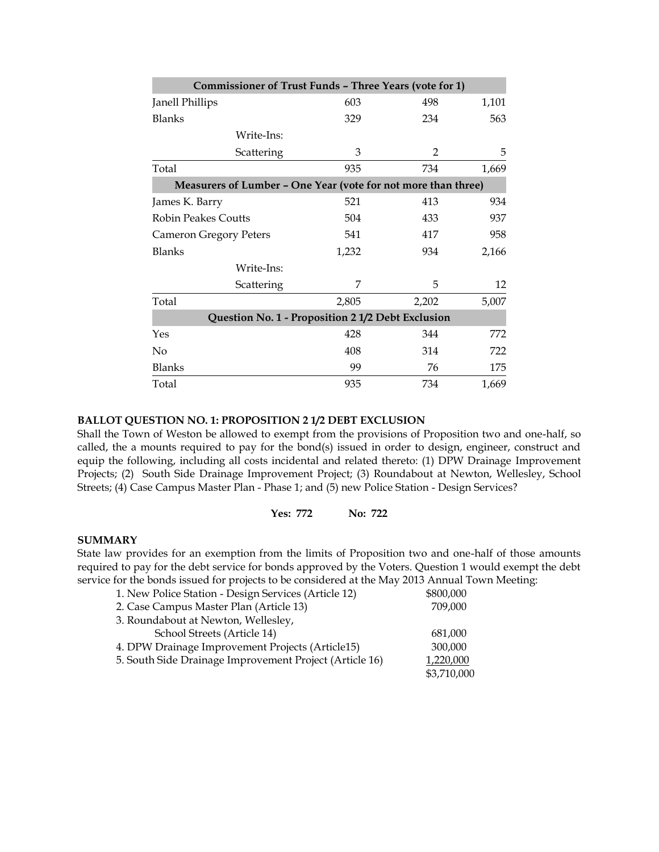|                               | <b>Commissioner of Trust Funds - Three Years (vote for 1)</b> |       |                |       |
|-------------------------------|---------------------------------------------------------------|-------|----------------|-------|
| Janell Phillips               |                                                               | 603   | 498            | 1,101 |
| <b>Blanks</b>                 |                                                               | 329   | 234            | 563   |
|                               | Write-Ins:                                                    |       |                |       |
|                               | Scattering                                                    | 3     | $\overline{2}$ | 5     |
| Total                         |                                                               | 935   | 734            | 1,669 |
|                               | Measurers of Lumber - One Year (vote for not more than three) |       |                |       |
| James K. Barry                |                                                               | 521   | 413            | 934   |
| <b>Robin Peakes Coutts</b>    |                                                               | 504   | 433            | 937   |
| <b>Cameron Gregory Peters</b> |                                                               | 541   | 417            | 958   |
| <b>Blanks</b>                 |                                                               | 1,232 | 934            | 2,166 |
|                               | Write-Ins:                                                    |       |                |       |
|                               | Scattering                                                    | 7     | 5              | 12    |
| Total                         |                                                               | 2,805 | 2,202          | 5,007 |
|                               | Question No. 1 - Proposition 2 1/2 Debt Exclusion             |       |                |       |
| Yes                           |                                                               | 428   | 344            | 772   |
| No                            |                                                               | 408   | 314            | 722   |
| <b>Blanks</b>                 |                                                               | 99    | 76             | 175   |
| Total                         |                                                               | 935   | 734            | 1,669 |

# **BALLOT QUESTION NO. 1: PROPOSITION 2 1/2 DEBT EXCLUSION**

Shall the Town of Weston be allowed to exempt from the provisions of Proposition two and one-half, so called, the a mounts required to pay for the bond(s) issued in order to design, engineer, construct and equip the following, including all costs incidental and related thereto: (1) DPW Drainage Improvement Projects; (2) South Side Drainage Improvement Project; (3) Roundabout at Newton, Wellesley, School Streets; (4) Case Campus Master Plan - Phase 1; and (5) new Police Station - Design Services?

# **Yes: 772 No: 722**

#### **SUMMARY**

State law provides for an exemption from the limits of Proposition two and one-half of those amounts required to pay for the debt service for bonds approved by the Voters. Question 1 would exempt the debt service for the bonds issued for projects to be considered at the May 2013 Annual Town Meeting:

| 1. New Police Station - Design Services (Article 12)    | \$800,000   |
|---------------------------------------------------------|-------------|
| 2. Case Campus Master Plan (Article 13)                 | 709,000     |
| 3. Roundabout at Newton, Wellesley,                     |             |
| School Streets (Article 14)                             | 681,000     |
| 4. DPW Drainage Improvement Projects (Article15)        | 300,000     |
| 5. South Side Drainage Improvement Project (Article 16) | 1,220,000   |
|                                                         | \$3,710,000 |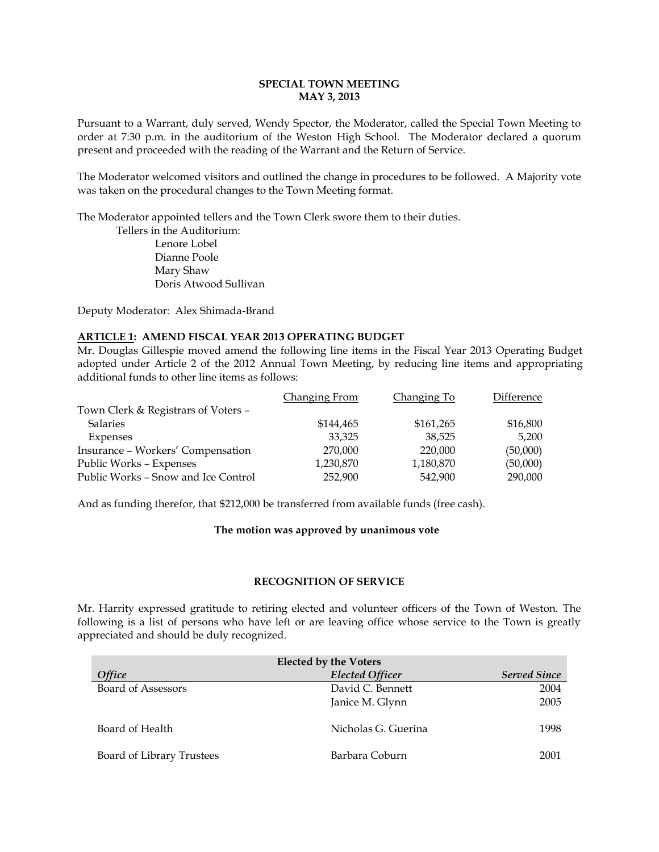### **SPECIAL TOWN MEETING MAY 3, 2013**

Pursuant to a Warrant, duly served, Wendy Spector, the Moderator, called the Special Town Meeting to order at 7:30 p.m. in the auditorium of the Weston High School. The Moderator declared a quorum present and proceeded with the reading of the Warrant and the Return of Service.

The Moderator welcomed visitors and outlined the change in procedures to be followed. A Majority vote was taken on the procedural changes to the Town Meeting format.

The Moderator appointed tellers and the Town Clerk swore them to their duties.

Tellers in the Auditorium: Lenore Lobel Dianne Poole Mary Shaw Doris Atwood Sullivan

Deputy Moderator: Alex Shimada-Brand

### **ARTICLE 1: AMEND FISCAL YEAR 2013 OPERATING BUDGET**

Mr. Douglas Gillespie moved amend the following line items in the Fiscal Year 2013 Operating Budget adopted under Article 2 of the 2012 Annual Town Meeting, by reducing line items and appropriating additional funds to other line items as follows:

|                                     | Changing From | Changing To | Difference |
|-------------------------------------|---------------|-------------|------------|
| Town Clerk & Registrars of Voters - |               |             |            |
| <b>Salaries</b>                     | \$144.465     | \$161,265   | \$16,800   |
| Expenses                            | 33.325        | 38,525      | 5,200      |
| Insurance - Workers' Compensation   | 270,000       | 220,000     | (50,000)   |
| Public Works - Expenses             | 1,230,870     | 1,180,870   | (50,000)   |
| Public Works - Snow and Ice Control | 252,900       | 542,900     | 290,000    |

And as funding therefor, that \$212,000 be transferred from available funds (free cash).

### **The motion was approved by unanimous vote**

### **RECOGNITION OF SERVICE**

Mr. Harrity expressed gratitude to retiring elected and volunteer officers of the Town of Weston. The following is a list of persons who have left or are leaving office whose service to the Town is greatly appreciated and should be duly recognized.

| <b>Elected by the Voters</b> |                        |                     |  |
|------------------------------|------------------------|---------------------|--|
| <b>Office</b>                | <b>Elected Officer</b> | <b>Served Since</b> |  |
| <b>Board of Assessors</b>    | David C. Bennett       | 2004                |  |
|                              | Janice M. Glynn        | 2005                |  |
| Board of Health              | Nicholas G. Guerina    | 1998                |  |
| Board of Library Trustees    | Barbara Coburn         | 2001                |  |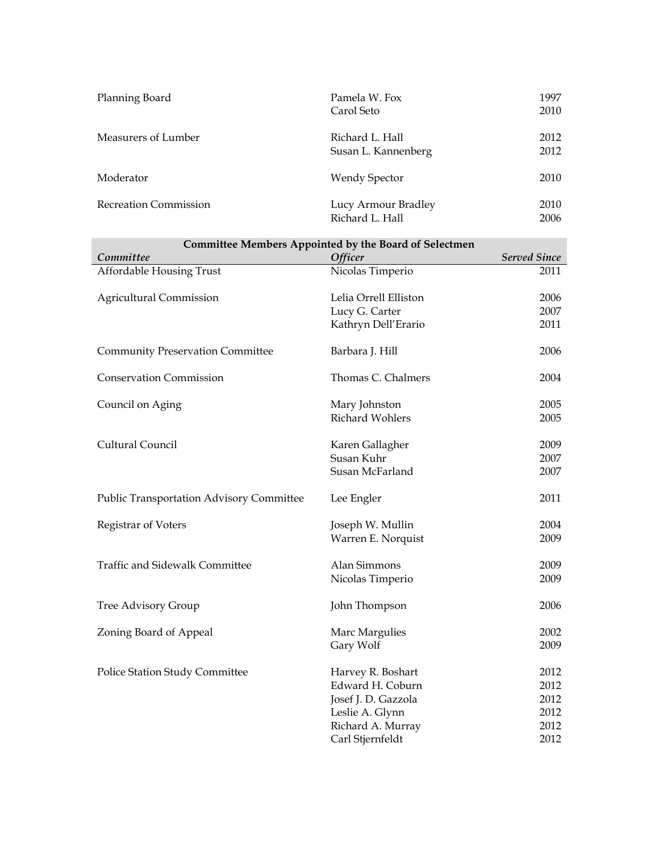| Planning Board               | Pamela W. Fox<br>Carol Seto            | 1997<br>2010 |
|------------------------------|----------------------------------------|--------------|
| Measurers of Lumber          | Richard L. Hall<br>Susan L. Kannenberg | 2012<br>2012 |
| Moderator                    | Wendy Spector                          | 2010         |
| <b>Recreation Commission</b> | Lucy Armour Bradley<br>Richard L. Hall | 2010<br>2006 |

| <b>Committee Members Appointed by the Board of Selectmen</b> |                       |                     |  |  |
|--------------------------------------------------------------|-----------------------|---------------------|--|--|
| Committee                                                    | <b>Officer</b>        | <b>Served Since</b> |  |  |
| Affordable Housing Trust                                     | Nicolas Timperio      | 2011                |  |  |
| <b>Agricultural Commission</b>                               | Lelia Orrell Elliston | 2006                |  |  |
|                                                              | Lucy G. Carter        | 2007                |  |  |
|                                                              | Kathryn Dell'Erario   | 2011                |  |  |
| <b>Community Preservation Committee</b>                      | Barbara J. Hill       | 2006                |  |  |
| <b>Conservation Commission</b>                               | Thomas C. Chalmers    | 2004                |  |  |
| Council on Aging                                             | Mary Johnston         | 2005                |  |  |
|                                                              | Richard Wohlers       | 2005                |  |  |
| Cultural Council                                             | Karen Gallagher       | 2009                |  |  |
|                                                              | Susan Kuhr            | 2007                |  |  |
|                                                              | Susan McFarland       | 2007                |  |  |
| <b>Public Transportation Advisory Committee</b>              | Lee Engler            | 2011                |  |  |
| Registrar of Voters                                          | Joseph W. Mullin      | 2004                |  |  |
|                                                              | Warren E. Norquist    | 2009                |  |  |
| Traffic and Sidewalk Committee                               | Alan Simmons          | 2009                |  |  |
|                                                              | Nicolas Timperio      | 2009                |  |  |
| Tree Advisory Group                                          | John Thompson         | 2006                |  |  |
| Zoning Board of Appeal                                       | Marc Margulies        | 2002                |  |  |
|                                                              | Gary Wolf             | 2009                |  |  |
| Police Station Study Committee                               | Harvey R. Boshart     | 2012                |  |  |
|                                                              | Edward H. Coburn      | 2012                |  |  |
|                                                              | Josef J. D. Gazzola   | 2012                |  |  |
|                                                              | Leslie A. Glynn       | 2012                |  |  |
|                                                              | Richard A. Murray     | 2012                |  |  |
|                                                              | Carl Stjernfeldt      | 2012                |  |  |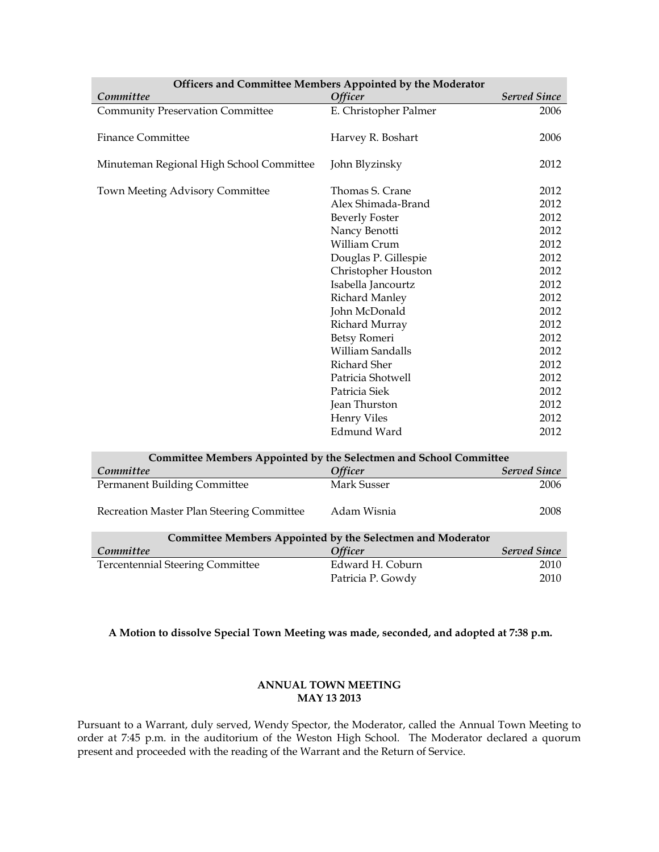| Officers and Committee Members Appointed by the Moderator         |                                                            |                     |  |
|-------------------------------------------------------------------|------------------------------------------------------------|---------------------|--|
| Committee                                                         | Officer                                                    | <b>Served Since</b> |  |
| <b>Community Preservation Committee</b>                           | E. Christopher Palmer                                      | 2006                |  |
|                                                                   |                                                            |                     |  |
| <b>Finance Committee</b>                                          | Harvey R. Boshart                                          | 2006                |  |
|                                                                   |                                                            |                     |  |
| Minuteman Regional High School Committee                          | John Blyzinsky                                             | 2012                |  |
|                                                                   |                                                            |                     |  |
| Town Meeting Advisory Committee                                   | Thomas S. Crane                                            | 2012                |  |
|                                                                   | Alex Shimada-Brand                                         | 2012                |  |
|                                                                   | <b>Beverly Foster</b>                                      | 2012                |  |
|                                                                   | Nancy Benotti                                              | 2012                |  |
|                                                                   | William Crum                                               | 2012                |  |
|                                                                   | Douglas P. Gillespie                                       | 2012                |  |
|                                                                   | Christopher Houston                                        | 2012                |  |
|                                                                   | Isabella Jancourtz                                         | 2012                |  |
|                                                                   | <b>Richard Manley</b>                                      | 2012                |  |
|                                                                   | John McDonald                                              | 2012                |  |
|                                                                   | Richard Murray                                             | 2012                |  |
|                                                                   | Betsy Romeri                                               | 2012                |  |
|                                                                   | William Sandalls                                           | 2012                |  |
|                                                                   | Richard Sher                                               | 2012                |  |
|                                                                   | Patricia Shotwell                                          | 2012                |  |
|                                                                   | Patricia Siek                                              | 2012                |  |
|                                                                   | Jean Thurston                                              | 2012                |  |
|                                                                   | <b>Henry Viles</b>                                         | 2012                |  |
|                                                                   | <b>Edmund Ward</b>                                         | 2012                |  |
|                                                                   |                                                            |                     |  |
| Committee Members Appointed by the Selectmen and School Committee |                                                            |                     |  |
| Committee                                                         | Officer                                                    | <b>Served Since</b> |  |
| Permanent Building Committee                                      | Mark Susser                                                | 2006                |  |
| Recreation Master Plan Steering Committee                         | Adam Wisnia                                                | 2008                |  |
|                                                                   | Committee Members Appointed by the Selectmen and Moderator |                     |  |
| Committee                                                         | Officer                                                    | <b>Served Since</b> |  |

| Committee                               | <i><b>Officer</b></i> | <b>Served Since</b> |
|-----------------------------------------|-----------------------|---------------------|
| <b>Tercentennial Steering Committee</b> | Edward H. Coburn      | 2010                |
|                                         | Patricia P. Gowdy     | 2010                |

# **A Motion to dissolve Special Town Meeting was made, seconded, and adopted at 7:38 p.m.**

### **ANNUAL TOWN MEETING MAY 13 2013**

Pursuant to a Warrant, duly served, Wendy Spector, the Moderator, called the Annual Town Meeting to order at 7:45 p.m. in the auditorium of the Weston High School. The Moderator declared a quorum present and proceeded with the reading of the Warrant and the Return of Service.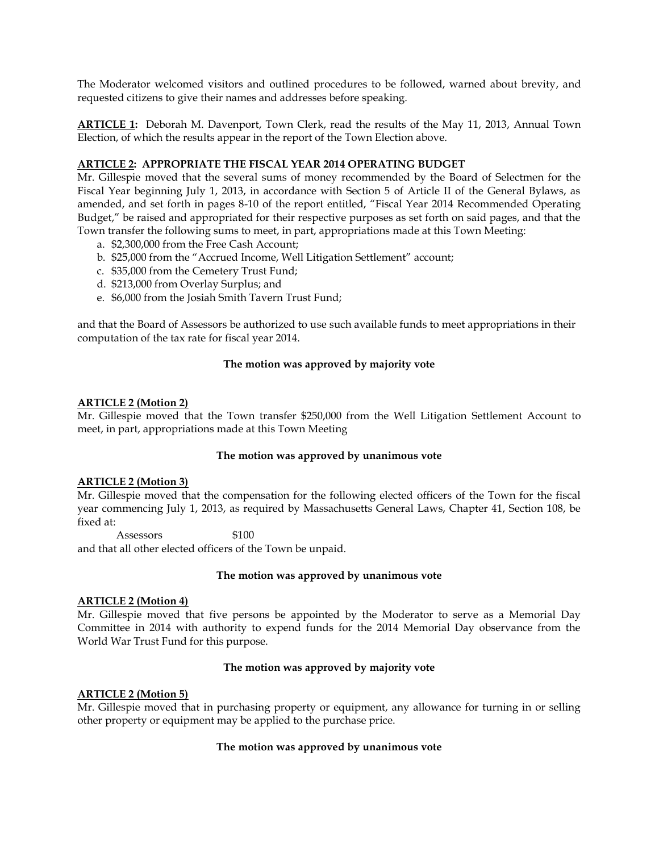The Moderator welcomed visitors and outlined procedures to be followed, warned about brevity, and requested citizens to give their names and addresses before speaking.

**ARTICLE 1:** Deborah M. Davenport, Town Clerk, read the results of the May 11, 2013, Annual Town Election, of which the results appear in the report of the Town Election above.

### **ARTICLE 2: APPROPRIATE THE FISCAL YEAR 2014 OPERATING BUDGET**

Mr. Gillespie moved that the several sums of money recommended by the Board of Selectmen for the Fiscal Year beginning July 1, 2013, in accordance with Section 5 of Article II of the General Bylaws, as amended, and set forth in pages 8-10 of the report entitled, "Fiscal Year 2014 Recommended Operating Budget," be raised and appropriated for their respective purposes as set forth on said pages, and that the Town transfer the following sums to meet, in part, appropriations made at this Town Meeting:

- a. \$2,300,000 from the Free Cash Account;
- b. \$25,000 from the "Accrued Income, Well Litigation Settlement" account;
- c. \$35,000 from the Cemetery Trust Fund;
- d. \$213,000 from Overlay Surplus; and
- e. \$6,000 from the Josiah Smith Tavern Trust Fund;

and that the Board of Assessors be authorized to use such available funds to meet appropriations in their computation of the tax rate for fiscal year 2014.

### **The motion was approved by majority vote**

### **ARTICLE 2 (Motion 2)**

Mr. Gillespie moved that the Town transfer \$250,000 from the Well Litigation Settlement Account to meet, in part, appropriations made at this Town Meeting

### **The motion was approved by unanimous vote**

### **ARTICLE 2 (Motion 3)**

Mr. Gillespie moved that the compensation for the following elected officers of the Town for the fiscal year commencing July 1, 2013, as required by Massachusetts General Laws, Chapter 41, Section 108, be fixed at:

Assessors \$100

and that all other elected officers of the Town be unpaid.

### **The motion was approved by unanimous vote**

### **ARTICLE 2 (Motion 4)**

Mr. Gillespie moved that five persons be appointed by the Moderator to serve as a Memorial Day Committee in 2014 with authority to expend funds for the 2014 Memorial Day observance from the World War Trust Fund for this purpose.

### **The motion was approved by majority vote**

### **ARTICLE 2 (Motion 5)**

Mr. Gillespie moved that in purchasing property or equipment, any allowance for turning in or selling other property or equipment may be applied to the purchase price.

### **The motion was approved by unanimous vote**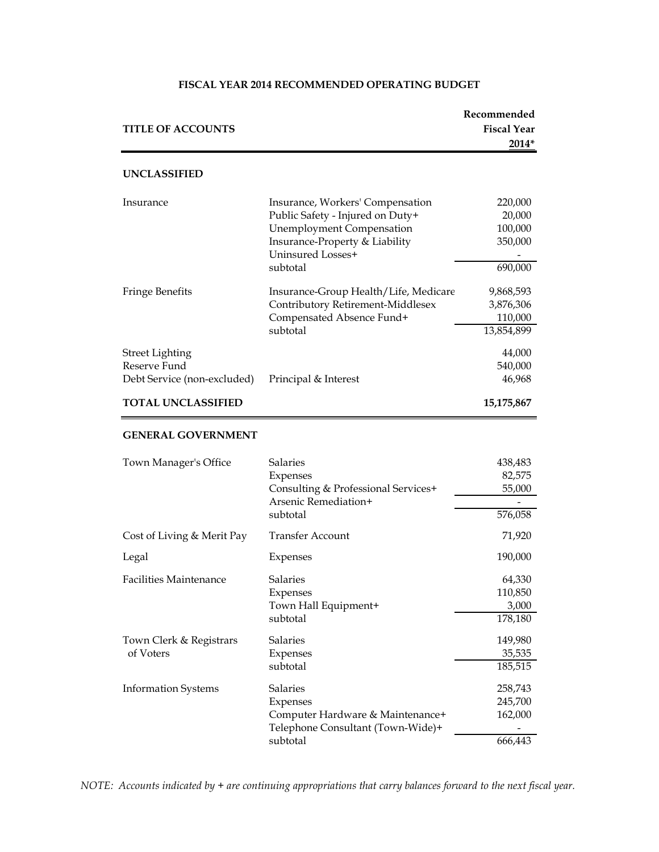# **Recommended TITLE OF ACCOUNTS Fiscal Year 2014\* UNCLASSIFIED** Insurance Insurance, Workers' Compensation 220,000 Public Safety - Injured on Duty+ 20,000 Unemployment Compensation 100,000 Insurance-Property & Liability 350,000 Uninsured Losses+ subtotal 690,000 Fringe Benefits Insurance-Group Health/Life, Medicare 9,868,593 Contributory Retirement-Middlesex 3,876,306 Compensated Absence Fund+ 110,000 subtotal 13,854,899 Street Lighting  $44,000$ Reserve Fund 540,000 Debt Service (non-excluded) Principal & Interest 46,968 **TOTAL UNCLASSIFIED 15,175,867 GENERAL GOVERNMENT** Town Manager's Office Salaries 5 Salaries 438,483 Expenses 82,575 Consulting & Professional Services+ 55,000 Arsenic Remediation+ subtotal 576,058 Cost of Living & Merit Pay Transfer Account 71,920 Legal Expenses 190,000 Facilities Maintenance Salaries 64,330 Expenses 110,850 Town Hall Equipment+ 3,000 subtotal 178,180 Town Clerk & Registrars Salaries 149,980 of Voters Expenses 35,535 subtotal 185,515 Information Systems Salaries 258,743

#### **FISCAL YEAR 2014 RECOMMENDED OPERATING BUDGET**

*NOTE: Accounts indicated by + are continuing appropriations that carry balances forward to the next fiscal year.*

Telephone Consultant (Town-Wide)+ -

Expenses 245,700 Computer Hardware & Maintenance+ 162,000

subtotal 666,443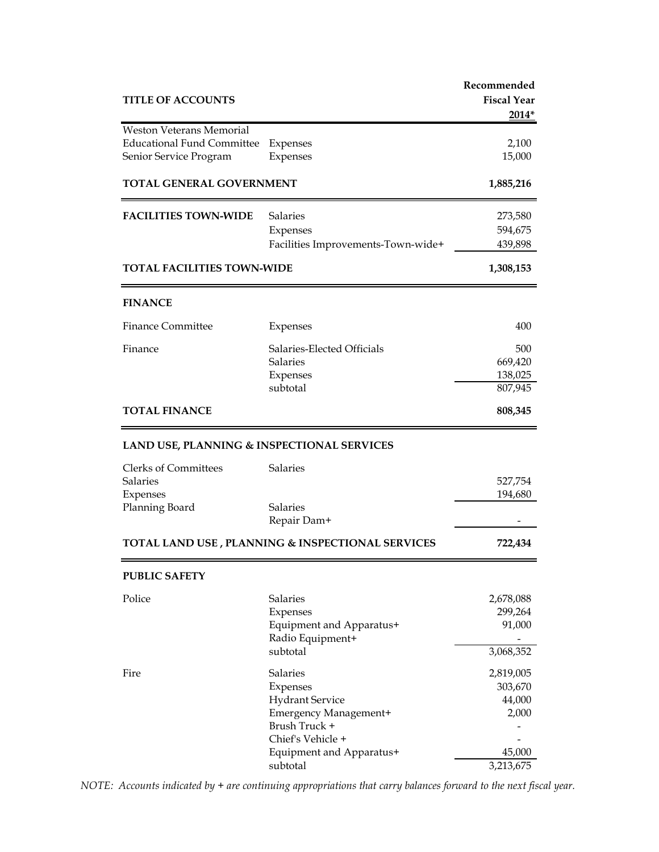| <b>TITLE OF ACCOUNTS</b>                                                                       |                                                                                                                                                       | Recommended<br><b>Fiscal Year</b><br>2014*                     |
|------------------------------------------------------------------------------------------------|-------------------------------------------------------------------------------------------------------------------------------------------------------|----------------------------------------------------------------|
| <b>Weston Veterans Memorial</b><br><b>Educational Fund Committee</b><br>Senior Service Program | Expenses<br>Expenses                                                                                                                                  | 2,100<br>15,000                                                |
| TOTAL GENERAL GOVERNMENT                                                                       |                                                                                                                                                       | 1,885,216                                                      |
| <b>FACILITIES TOWN-WIDE</b>                                                                    | <b>Salaries</b><br>Expenses<br>Facilities Improvements-Town-wide+                                                                                     | 273,580<br>594,675<br>439,898                                  |
| <b>TOTAL FACILITIES TOWN-WIDE</b>                                                              |                                                                                                                                                       | 1,308,153                                                      |
| <b>FINANCE</b>                                                                                 |                                                                                                                                                       |                                                                |
| <b>Finance Committee</b>                                                                       | Expenses                                                                                                                                              | 400                                                            |
| Finance                                                                                        | Salaries-Elected Officials<br><b>Salaries</b><br>Expenses<br>subtotal                                                                                 | 500<br>669,420<br>138,025<br>807,945                           |
| <b>TOTAL FINANCE</b>                                                                           |                                                                                                                                                       | 808,345                                                        |
| LAND USE, PLANNING & INSPECTIONAL SERVICES                                                     |                                                                                                                                                       |                                                                |
| <b>Clerks of Committees</b><br><b>Salaries</b><br>Expenses<br>Planning Board                   | Salaries<br><b>Salaries</b>                                                                                                                           | 527,754<br>194,680                                             |
|                                                                                                | Repair Dam+                                                                                                                                           |                                                                |
|                                                                                                | TOTAL LAND USE, PLANNING & INSPECTIONAL SERVICES                                                                                                      | 722,434                                                        |
| <b>PUBLIC SAFETY</b>                                                                           |                                                                                                                                                       |                                                                |
| Police                                                                                         | <b>Salaries</b><br>Expenses<br>Equipment and Apparatus+<br>Radio Equipment+<br>subtotal                                                               | 2,678,088<br>299,264<br>91,000<br>3,068,352                    |
| Fire                                                                                           | Salaries<br>Expenses<br><b>Hydrant Service</b><br>Emergency Management+<br>Brush Truck +<br>Chief's Vehicle +<br>Equipment and Apparatus+<br>subtotal | 2,819,005<br>303,670<br>44,000<br>2,000<br>45,000<br>3,213,675 |

*NOTE: Accounts indicated by + are continuing appropriations that carry balances forward to the next fiscal year.*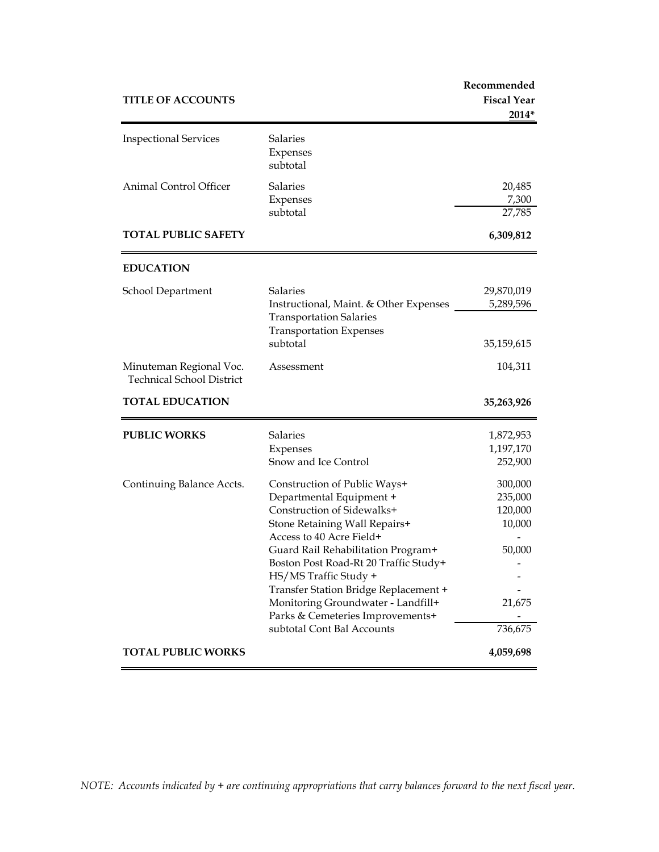| <b>TITLE OF ACCOUNTS</b>                                    |                                                                                                                                                                                                                                                                                                                                                                                                              | Recommended<br><b>Fiscal Year</b><br>2014*                             |
|-------------------------------------------------------------|--------------------------------------------------------------------------------------------------------------------------------------------------------------------------------------------------------------------------------------------------------------------------------------------------------------------------------------------------------------------------------------------------------------|------------------------------------------------------------------------|
| <b>Inspectional Services</b>                                | Salaries<br>Expenses<br>subtotal                                                                                                                                                                                                                                                                                                                                                                             |                                                                        |
| <b>Animal Control Officer</b>                               | <b>Salaries</b><br>Expenses<br>subtotal                                                                                                                                                                                                                                                                                                                                                                      | 20,485<br>7,300<br>27,785                                              |
| <b>TOTAL PUBLIC SAFETY</b>                                  |                                                                                                                                                                                                                                                                                                                                                                                                              | 6,309,812                                                              |
| <b>EDUCATION</b>                                            |                                                                                                                                                                                                                                                                                                                                                                                                              |                                                                        |
| School Department                                           | <b>Salaries</b><br>Instructional, Maint. & Other Expenses<br><b>Transportation Salaries</b><br><b>Transportation Expenses</b><br>subtotal                                                                                                                                                                                                                                                                    | 29,870,019<br>5,289,596<br>35,159,615                                  |
| Minuteman Regional Voc.<br><b>Technical School District</b> | Assessment                                                                                                                                                                                                                                                                                                                                                                                                   | 104,311                                                                |
| <b>TOTAL EDUCATION</b>                                      |                                                                                                                                                                                                                                                                                                                                                                                                              | 35,263,926                                                             |
| <b>PUBLIC WORKS</b>                                         | <b>Salaries</b><br>Expenses<br>Snow and Ice Control                                                                                                                                                                                                                                                                                                                                                          | 1,872,953<br>1,197,170<br>252,900                                      |
| Continuing Balance Accts.                                   | Construction of Public Ways+<br>Departmental Equipment +<br>Construction of Sidewalks+<br>Stone Retaining Wall Repairs+<br>Access to 40 Acre Field+<br>Guard Rail Rehabilitation Program+<br>Boston Post Road-Rt 20 Traffic Study+<br>HS/MS Traffic Study +<br>Transfer Station Bridge Replacement +<br>Monitoring Groundwater - Landfill+<br>Parks & Cemeteries Improvements+<br>subtotal Cont Bal Accounts | 300,000<br>235,000<br>120,000<br>10,000<br>50,000<br>21,675<br>736,675 |
| <b>TOTAL PUBLIC WORKS</b>                                   |                                                                                                                                                                                                                                                                                                                                                                                                              | 4,059,698                                                              |

*NOTE: Accounts indicated by + are continuing appropriations that carry balances forward to the next fiscal year.*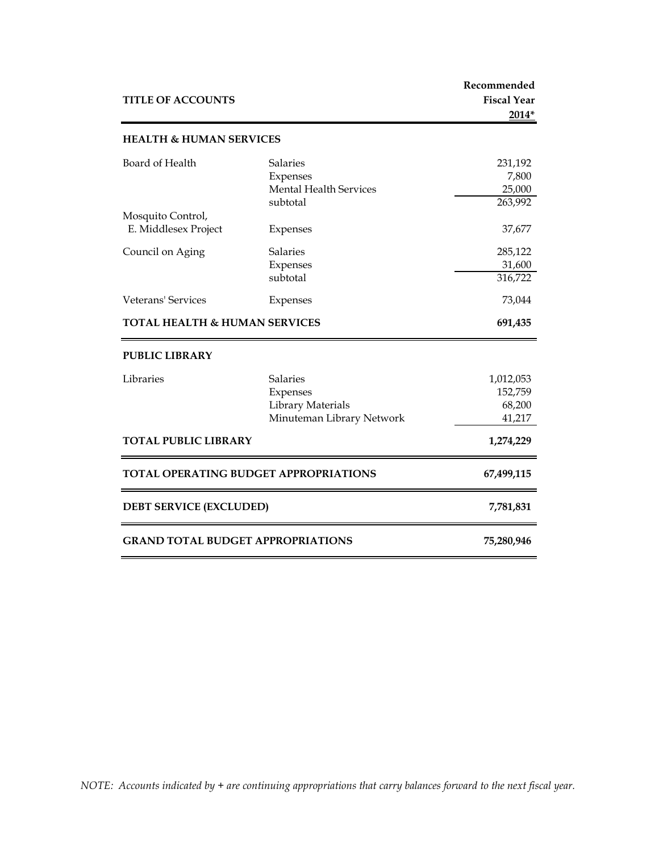| <b>TITLE OF ACCOUNTS</b>                  |                                                                               | Recommended<br><b>Fiscal Year</b><br>2014* |
|-------------------------------------------|-------------------------------------------------------------------------------|--------------------------------------------|
| <b>HEALTH &amp; HUMAN SERVICES</b>        |                                                                               |                                            |
| Board of Health                           | <b>Salaries</b><br>Expenses<br><b>Mental Health Services</b><br>subtotal      | 231,192<br>7,800<br>25,000<br>263,992      |
| Mosquito Control,<br>E. Middlesex Project | Expenses                                                                      | 37,677                                     |
| Council on Aging                          | <b>Salaries</b><br>Expenses<br>subtotal                                       | 285,122<br>31,600<br>316,722               |
| Veterans' Services                        | Expenses                                                                      | 73,044                                     |
| <b>TOTAL HEALTH &amp; HUMAN SERVICES</b>  |                                                                               | 691,435                                    |
| <b>PUBLIC LIBRARY</b>                     |                                                                               |                                            |
| Libraries                                 | <b>Salaries</b><br>Expenses<br>Library Materials<br>Minuteman Library Network | 1,012,053<br>152,759<br>68,200<br>41,217   |
| <b>TOTAL PUBLIC LIBRARY</b>               |                                                                               | 1,274,229                                  |
| TOTAL OPERATING BUDGET APPROPRIATIONS     |                                                                               | 67,499,115                                 |
| <b>DEBT SERVICE (EXCLUDED)</b>            |                                                                               | 7,781,831                                  |
| <b>GRAND TOTAL BUDGET APPROPRIATIONS</b>  |                                                                               | 75,280,946                                 |

*NOTE: Accounts indicated by + are continuing appropriations that carry balances forward to the next fiscal year.*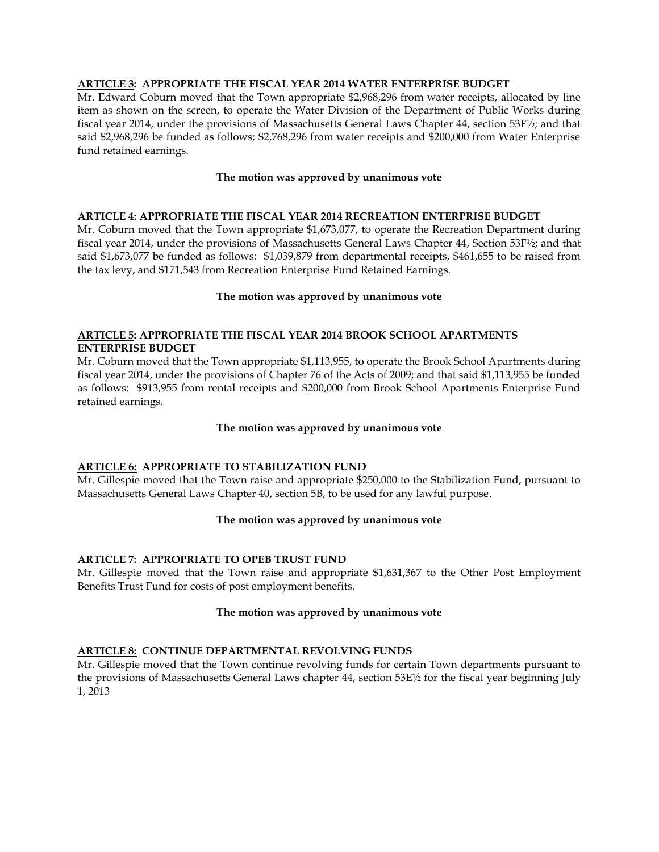### **ARTICLE 3: APPROPRIATE THE FISCAL YEAR 2014 WATER ENTERPRISE BUDGET**

Mr. Edward Coburn moved that the Town appropriate \$2,968,296 from water receipts, allocated by line item as shown on the screen, to operate the Water Division of the Department of Public Works during fiscal year 2014, under the provisions of Massachusetts General Laws Chapter 44, section 53F½; and that said \$2,968,296 be funded as follows; \$2,768,296 from water receipts and \$200,000 from Water Enterprise fund retained earnings.

# **The motion was approved by unanimous vote**

# **ARTICLE 4: APPROPRIATE THE FISCAL YEAR 2014 RECREATION ENTERPRISE BUDGET**

Mr. Coburn moved that the Town appropriate \$1,673,077, to operate the Recreation Department during fiscal year 2014, under the provisions of Massachusetts General Laws Chapter 44, Section 53F½; and that said \$1,673,077 be funded as follows: \$1,039,879 from departmental receipts, \$461,655 to be raised from the tax levy, and \$171,543 from Recreation Enterprise Fund Retained Earnings.

# **The motion was approved by unanimous vote**

# **ARTICLE 5: APPROPRIATE THE FISCAL YEAR 2014 BROOK SCHOOL APARTMENTS ENTERPRISE BUDGET**

Mr. Coburn moved that the Town appropriate \$1,113,955, to operate the Brook School Apartments during fiscal year 2014, under the provisions of Chapter 76 of the Acts of 2009; and that said \$1,113,955 be funded as follows: \$913,955 from rental receipts and \$200,000 from Brook School Apartments Enterprise Fund retained earnings.

### **The motion was approved by unanimous vote**

# **ARTICLE 6: APPROPRIATE TO STABILIZATION FUND**

Mr. Gillespie moved that the Town raise and appropriate \$250,000 to the Stabilization Fund, pursuant to Massachusetts General Laws Chapter 40, section 5B, to be used for any lawful purpose.

### **The motion was approved by unanimous vote**

# **ARTICLE 7: APPROPRIATE TO OPEB TRUST FUND**

Mr. Gillespie moved that the Town raise and appropriate \$1,631,367 to the Other Post Employment Benefits Trust Fund for costs of post employment benefits.

### **The motion was approved by unanimous vote**

# **ARTICLE 8: CONTINUE DEPARTMENTAL REVOLVING FUNDS**

Mr. Gillespie moved that the Town continue revolving funds for certain Town departments pursuant to the provisions of Massachusetts General Laws chapter 44, section 53E½ for the fiscal year beginning July 1, 2013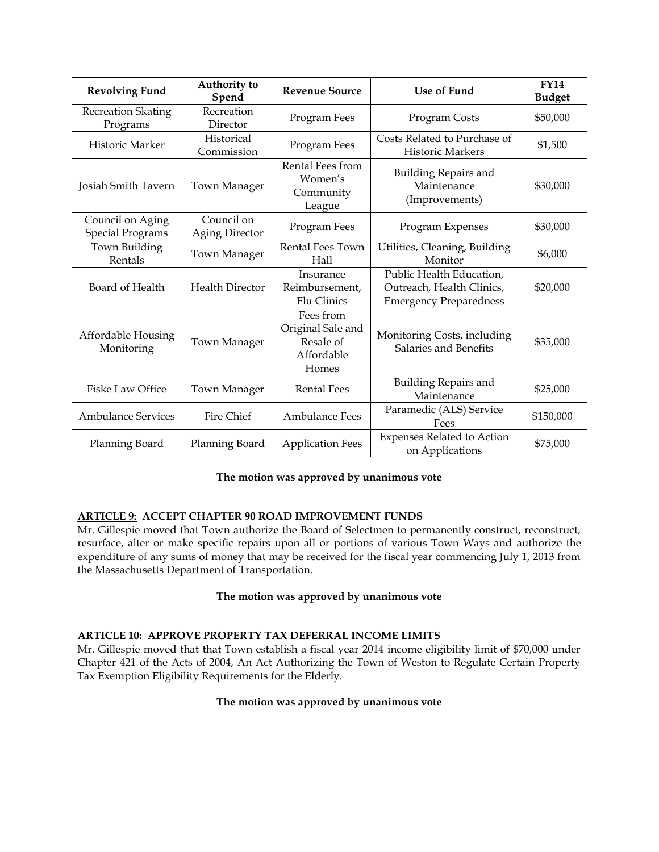| <b>Revolving Fund</b>                       | Authority to<br>Spend               | <b>Revenue Source</b>                                              | <b>Use of Fund</b>                                                                     | <b>FY14</b><br><b>Budget</b> |
|---------------------------------------------|-------------------------------------|--------------------------------------------------------------------|----------------------------------------------------------------------------------------|------------------------------|
| <b>Recreation Skating</b><br>Programs       | Recreation<br>Director              | Program Fees                                                       | Program Costs                                                                          | \$50,000                     |
| Historic Marker                             | Historical<br>Commission            | Program Fees                                                       | Costs Related to Purchase of<br><b>Historic Markers</b>                                | \$1,500                      |
| Josiah Smith Tavern                         | Town Manager                        | Rental Fees from<br>Women's<br>Community<br>League                 | <b>Building Repairs and</b><br>Maintenance<br>(Improvements)                           | \$30,000                     |
| Council on Aging<br><b>Special Programs</b> | Council on<br><b>Aging Director</b> | Program Fees                                                       | Program Expenses                                                                       | \$30,000                     |
| Town Building<br>Rentals                    | Town Manager                        | Rental Fees Town<br>Hall                                           | Utilities, Cleaning, Building<br>Monitor                                               | \$6,000                      |
| Board of Health                             | <b>Health Director</b>              | Insurance<br>Reimbursement,<br>Flu Clinics                         | Public Health Education,<br>Outreach, Health Clinics,<br><b>Emergency Preparedness</b> | \$20,000                     |
| Affordable Housing<br>Monitoring            | Town Manager                        | Fees from<br>Original Sale and<br>Resale of<br>Affordable<br>Homes | Monitoring Costs, including<br>Salaries and Benefits                                   | \$35,000                     |
| <b>Fiske Law Office</b>                     | Town Manager                        | <b>Rental Fees</b>                                                 | <b>Building Repairs and</b><br>Maintenance                                             | \$25,000                     |
| <b>Ambulance Services</b>                   | Fire Chief                          | <b>Ambulance Fees</b>                                              | Paramedic (ALS) Service<br>Fees                                                        | \$150,000                    |
| Planning Board                              | Planning Board                      | <b>Application Fees</b>                                            | <b>Expenses Related to Action</b><br>on Applications                                   | \$75,000                     |

# **The motion was approved by unanimous vote**

# **ARTICLE 9: ACCEPT CHAPTER 90 ROAD IMPROVEMENT FUNDS**

Mr. Gillespie moved that Town authorize the Board of Selectmen to permanently construct, reconstruct, resurface, alter or make specific repairs upon all or portions of various Town Ways and authorize the expenditure of any sums of money that may be received for the fiscal year commencing July 1, 2013 from the Massachusetts Department of Transportation.

### **The motion was approved by unanimous vote**

# **ARTICLE 10: APPROVE PROPERTY TAX DEFERRAL INCOME LIMITS**

Mr. Gillespie moved that that Town establish a fiscal year 2014 income eligibility limit of \$70,000 under Chapter 421 of the Acts of 2004, An Act Authorizing the Town of Weston to Regulate Certain Property Tax Exemption Eligibility Requirements for the Elderly.

# **The motion was approved by unanimous vote**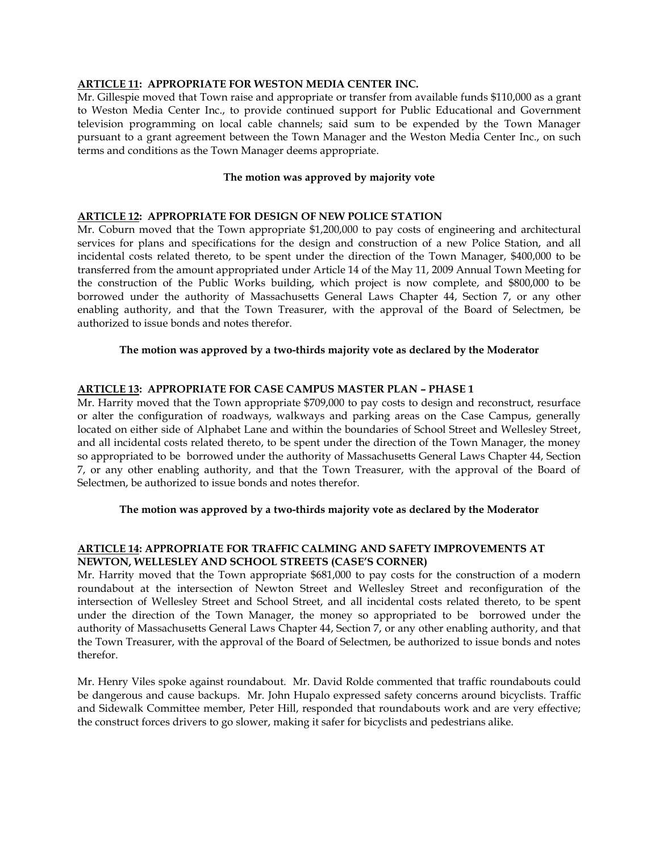### **ARTICLE 11: APPROPRIATE FOR WESTON MEDIA CENTER INC.**

Mr. Gillespie moved that Town raise and appropriate or transfer from available funds \$110,000 as a grant to Weston Media Center Inc., to provide continued support for Public Educational and Government television programming on local cable channels; said sum to be expended by the Town Manager pursuant to a grant agreement between the Town Manager and the Weston Media Center Inc., on such terms and conditions as the Town Manager deems appropriate.

### **The motion was approved by majority vote**

# **ARTICLE 12: APPROPRIATE FOR DESIGN OF NEW POLICE STATION**

Mr. Coburn moved that the Town appropriate \$1,200,000 to pay costs of engineering and architectural services for plans and specifications for the design and construction of a new Police Station, and all incidental costs related thereto, to be spent under the direction of the Town Manager, \$400,000 to be transferred from the amount appropriated under Article 14 of the May 11, 2009 Annual Town Meeting for the construction of the Public Works building, which project is now complete, and \$800,000 to be borrowed under the authority of Massachusetts General Laws Chapter 44, Section 7, or any other enabling authority, and that the Town Treasurer, with the approval of the Board of Selectmen, be authorized to issue bonds and notes therefor.

### **The motion was approved by a two-thirds majority vote as declared by the Moderator**

### **ARTICLE 13: APPROPRIATE FOR CASE CAMPUS MASTER PLAN – PHASE 1**

Mr. Harrity moved that the Town appropriate \$709,000 to pay costs to design and reconstruct, resurface or alter the configuration of roadways, walkways and parking areas on the Case Campus, generally located on either side of Alphabet Lane and within the boundaries of School Street and Wellesley Street, and all incidental costs related thereto, to be spent under the direction of the Town Manager, the money so appropriated to be borrowed under the authority of Massachusetts General Laws Chapter 44, Section 7, or any other enabling authority, and that the Town Treasurer, with the approval of the Board of Selectmen, be authorized to issue bonds and notes therefor.

### **The motion was approved by a two-thirds majority vote as declared by the Moderator**

# **ARTICLE 14: APPROPRIATE FOR TRAFFIC CALMING AND SAFETY IMPROVEMENTS AT NEWTON, WELLESLEY AND SCHOOL STREETS (CASE'S CORNER)**

Mr. Harrity moved that the Town appropriate \$681,000 to pay costs for the construction of a modern roundabout at the intersection of Newton Street and Wellesley Street and reconfiguration of the intersection of Wellesley Street and School Street, and all incidental costs related thereto, to be spent under the direction of the Town Manager, the money so appropriated to be borrowed under the authority of Massachusetts General Laws Chapter 44, Section 7, or any other enabling authority, and that the Town Treasurer, with the approval of the Board of Selectmen, be authorized to issue bonds and notes therefor.

Mr. Henry Viles spoke against roundabout. Mr. David Rolde commented that traffic roundabouts could be dangerous and cause backups. Mr. John Hupalo expressed safety concerns around bicyclists. Traffic and Sidewalk Committee member, Peter Hill, responded that roundabouts work and are very effective; the construct forces drivers to go slower, making it safer for bicyclists and pedestrians alike.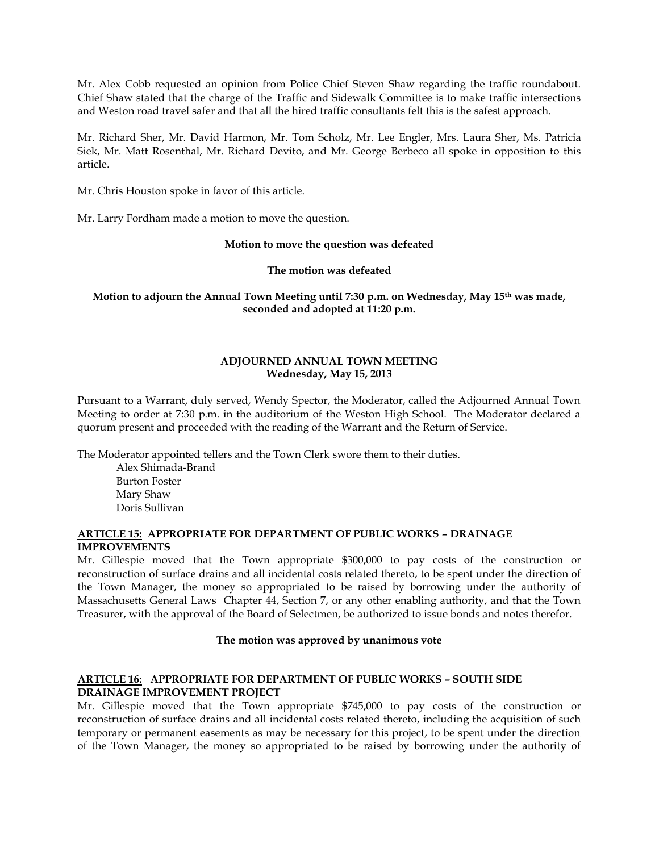Mr. Alex Cobb requested an opinion from Police Chief Steven Shaw regarding the traffic roundabout. Chief Shaw stated that the charge of the Traffic and Sidewalk Committee is to make traffic intersections and Weston road travel safer and that all the hired traffic consultants felt this is the safest approach.

Mr. Richard Sher, Mr. David Harmon, Mr. Tom Scholz, Mr. Lee Engler, Mrs. Laura Sher, Ms. Patricia Siek, Mr. Matt Rosenthal, Mr. Richard Devito, and Mr. George Berbeco all spoke in opposition to this article.

Mr. Chris Houston spoke in favor of this article.

Mr. Larry Fordham made a motion to move the question.

### **Motion to move the question was defeated**

### **The motion was defeated**

**Motion to adjourn the Annual Town Meeting until 7:30 p.m. on Wednesday, May 15th was made, seconded and adopted at 11:20 p.m.** 

# **ADJOURNED ANNUAL TOWN MEETING Wednesday, May 15, 2013**

Pursuant to a Warrant, duly served, Wendy Spector, the Moderator, called the Adjourned Annual Town Meeting to order at 7:30 p.m. in the auditorium of the Weston High School. The Moderator declared a quorum present and proceeded with the reading of the Warrant and the Return of Service.

The Moderator appointed tellers and the Town Clerk swore them to their duties.

Alex Shimada-Brand Burton Foster Mary Shaw Doris Sullivan

### **ARTICLE 15: APPROPRIATE FOR DEPARTMENT OF PUBLIC WORKS – DRAINAGE IMPROVEMENTS**

Mr. Gillespie moved that the Town appropriate \$300,000 to pay costs of the construction or reconstruction of surface drains and all incidental costs related thereto, to be spent under the direction of the Town Manager, the money so appropriated to be raised by borrowing under the authority of Massachusetts General Laws Chapter 44, Section 7, or any other enabling authority, and that the Town Treasurer, with the approval of the Board of Selectmen, be authorized to issue bonds and notes therefor.

### **The motion was approved by unanimous vote**

# **ARTICLE 16: APPROPRIATE FOR DEPARTMENT OF PUBLIC WORKS – SOUTH SIDE DRAINAGE IMPROVEMENT PROJECT**

Mr. Gillespie moved that the Town appropriate \$745,000 to pay costs of the construction or reconstruction of surface drains and all incidental costs related thereto, including the acquisition of such temporary or permanent easements as may be necessary for this project, to be spent under the direction of the Town Manager, the money so appropriated to be raised by borrowing under the authority of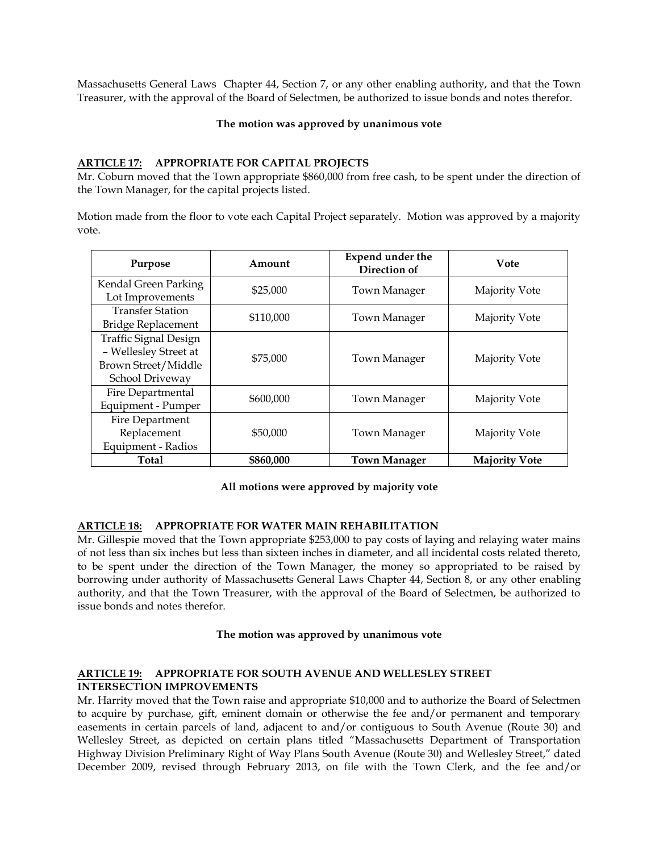Massachusetts General Laws Chapter 44, Section 7, or any other enabling authority, and that the Town Treasurer, with the approval of the Board of Selectmen, be authorized to issue bonds and notes therefor.

#### **The motion was approved by unanimous vote**

### **ARTICLE 17: APPROPRIATE FOR CAPITAL PROJECTS**

Mr. Coburn moved that the Town appropriate \$860,000 from free cash, to be spent under the direction of the Town Manager, for the capital projects listed.

Motion made from the floor to vote each Capital Project separately. Motion was approved by a majority vote.

| Purpose                      | Amount    | Expend under the<br>Direction of | Vote                 |  |
|------------------------------|-----------|----------------------------------|----------------------|--|
| Kendal Green Parking         | \$25,000  | Town Manager                     | Majority Vote        |  |
| Lot Improvements             |           |                                  |                      |  |
| <b>Transfer Station</b>      | \$110,000 |                                  |                      |  |
| Bridge Replacement           |           | Town Manager                     | Majority Vote        |  |
| <b>Traffic Signal Design</b> |           |                                  |                      |  |
| - Wellesley Street at        | \$75,000  |                                  |                      |  |
| Brown Street/Middle          |           | Town Manager                     | Majority Vote        |  |
| School Driveway              |           |                                  |                      |  |
| Fire Departmental            |           |                                  | Majority Vote        |  |
| Equipment - Pumper           |           | \$600,000<br>Town Manager        |                      |  |
| Fire Department              |           |                                  |                      |  |
| Replacement                  | \$50,000  | <b>Town Manager</b>              | Majority Vote        |  |
| Equipment - Radios           |           |                                  |                      |  |
| <b>Total</b>                 | \$860,000 | <b>Town Manager</b>              | <b>Majority Vote</b> |  |

**All motions were approved by majority vote** 

# **ARTICLE 18: APPROPRIATE FOR WATER MAIN REHABILITATION**

Mr. Gillespie moved that the Town appropriate \$253,000 to pay costs of laying and relaying water mains of not less than six inches but less than sixteen inches in diameter, and all incidental costs related thereto, to be spent under the direction of the Town Manager, the money so appropriated to be raised by borrowing under authority of Massachusetts General Laws Chapter 44, Section 8, or any other enabling authority, and that the Town Treasurer, with the approval of the Board of Selectmen, be authorized to issue bonds and notes therefor.

### **The motion was approved by unanimous vote**

### **ARTICLE 19: APPROPRIATE FOR SOUTH AVENUE AND WELLESLEY STREET INTERSECTION IMPROVEMENTS**

Mr. Harrity moved that the Town raise and appropriate \$10,000 and to authorize the Board of Selectmen to acquire by purchase, gift, eminent domain or otherwise the fee and/or permanent and temporary easements in certain parcels of land, adjacent to and/or contiguous to South Avenue (Route 30) and Wellesley Street, as depicted on certain plans titled "Massachusetts Department of Transportation Highway Division Preliminary Right of Way Plans South Avenue (Route 30) and Wellesley Street," dated December 2009, revised through February 2013, on file with the Town Clerk, and the fee and/or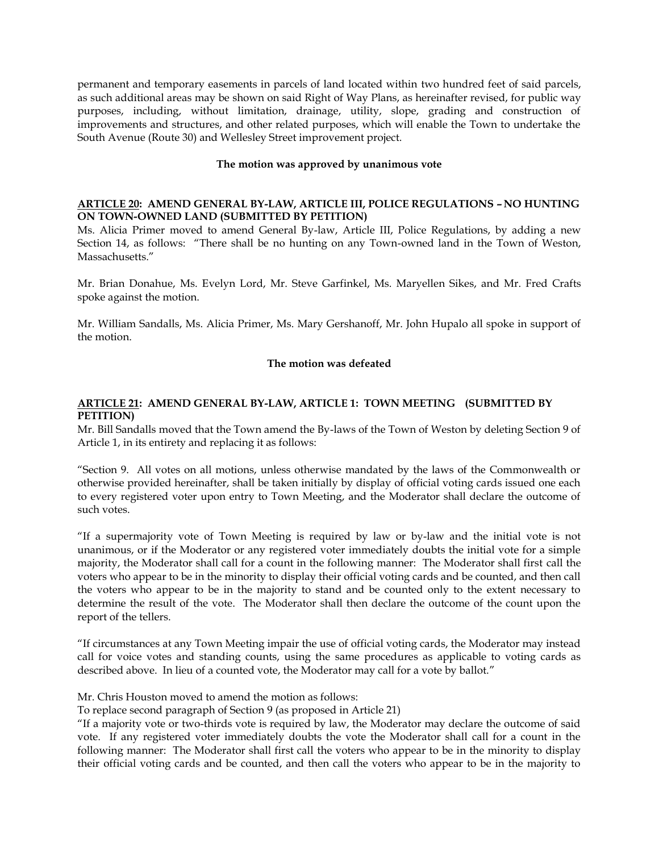permanent and temporary easements in parcels of land located within two hundred feet of said parcels, as such additional areas may be shown on said Right of Way Plans, as hereinafter revised, for public way purposes, including, without limitation, drainage, utility, slope, grading and construction of improvements and structures, and other related purposes, which will enable the Town to undertake the South Avenue (Route 30) and Wellesley Street improvement project.

### **The motion was approved by unanimous vote**

# **ARTICLE 20: AMEND GENERAL BY-LAW, ARTICLE III, POLICE REGULATIONS – NO HUNTING ON TOWN-OWNED LAND (SUBMITTED BY PETITION)**

Ms. Alicia Primer moved to amend General By-law, Article III, Police Regulations, by adding a new Section 14, as follows: "There shall be no hunting on any Town-owned land in the Town of Weston, Massachusetts."

Mr. Brian Donahue, Ms. Evelyn Lord, Mr. Steve Garfinkel, Ms. Maryellen Sikes, and Mr. Fred Crafts spoke against the motion.

Mr. William Sandalls, Ms. Alicia Primer, Ms. Mary Gershanoff, Mr. John Hupalo all spoke in support of the motion.

# **The motion was defeated**

# **ARTICLE 21: AMEND GENERAL BY-LAW, ARTICLE 1: TOWN MEETING (SUBMITTED BY PETITION)**

Mr. Bill Sandalls moved that the Town amend the By-laws of the Town of Weston by deleting Section 9 of Article 1, in its entirety and replacing it as follows:

"Section 9. All votes on all motions, unless otherwise mandated by the laws of the Commonwealth or otherwise provided hereinafter, shall be taken initially by display of official voting cards issued one each to every registered voter upon entry to Town Meeting, and the Moderator shall declare the outcome of such votes.

"If a supermajority vote of Town Meeting is required by law or by-law and the initial vote is not unanimous, or if the Moderator or any registered voter immediately doubts the initial vote for a simple majority, the Moderator shall call for a count in the following manner: The Moderator shall first call the voters who appear to be in the minority to display their official voting cards and be counted, and then call the voters who appear to be in the majority to stand and be counted only to the extent necessary to determine the result of the vote. The Moderator shall then declare the outcome of the count upon the report of the tellers.

"If circumstances at any Town Meeting impair the use of official voting cards, the Moderator may instead call for voice votes and standing counts, using the same procedures as applicable to voting cards as described above. In lieu of a counted vote, the Moderator may call for a vote by ballot."

Mr. Chris Houston moved to amend the motion as follows:

To replace second paragraph of Section 9 (as proposed in Article 21)

"If a majority vote or two-thirds vote is required by law, the Moderator may declare the outcome of said vote. If any registered voter immediately doubts the vote the Moderator shall call for a count in the following manner: The Moderator shall first call the voters who appear to be in the minority to display their official voting cards and be counted, and then call the voters who appear to be in the majority to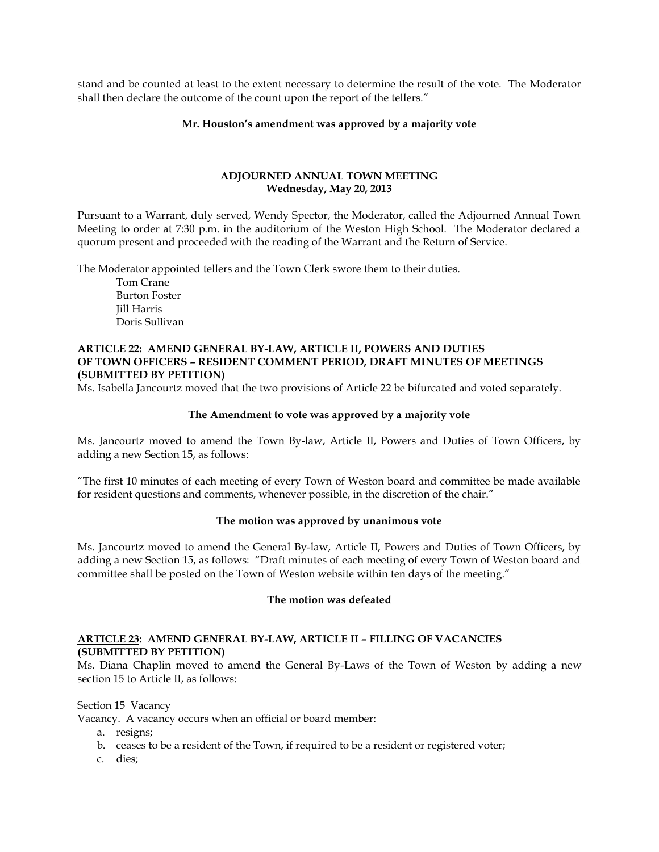stand and be counted at least to the extent necessary to determine the result of the vote. The Moderator shall then declare the outcome of the count upon the report of the tellers."

#### **Mr. Houston's amendment was approved by a majority vote**

### **ADJOURNED ANNUAL TOWN MEETING Wednesday, May 20, 2013**

Pursuant to a Warrant, duly served, Wendy Spector, the Moderator, called the Adjourned Annual Town Meeting to order at 7:30 p.m. in the auditorium of the Weston High School. The Moderator declared a quorum present and proceeded with the reading of the Warrant and the Return of Service.

The Moderator appointed tellers and the Town Clerk swore them to their duties.

Tom Crane Burton Foster Jill Harris Doris Sullivan

# **ARTICLE 22: AMEND GENERAL BY-LAW, ARTICLE II, POWERS AND DUTIES OF TOWN OFFICERS – RESIDENT COMMENT PERIOD, DRAFT MINUTES OF MEETINGS (SUBMITTED BY PETITION)**

Ms. Isabella Jancourtz moved that the two provisions of Article 22 be bifurcated and voted separately.

### **The Amendment to vote was approved by a majority vote**

Ms. Jancourtz moved to amend the Town By-law, Article II, Powers and Duties of Town Officers, by adding a new Section 15, as follows:

"The first 10 minutes of each meeting of every Town of Weston board and committee be made available for resident questions and comments, whenever possible, in the discretion of the chair."

### **The motion was approved by unanimous vote**

Ms. Jancourtz moved to amend the General By-law, Article II, Powers and Duties of Town Officers, by adding a new Section 15, as follows: "Draft minutes of each meeting of every Town of Weston board and committee shall be posted on the Town of Weston website within ten days of the meeting."

### **The motion was defeated**

# **ARTICLE 23: AMEND GENERAL BY-LAW, ARTICLE II – FILLING OF VACANCIES (SUBMITTED BY PETITION)**

Ms. Diana Chaplin moved to amend the General By-Laws of the Town of Weston by adding a new section 15 to Article II, as follows:

#### Section 15 Vacancy

Vacancy. A vacancy occurs when an official or board member:

- a. resigns;
- b. ceases to be a resident of the Town, if required to be a resident or registered voter;
- c. dies;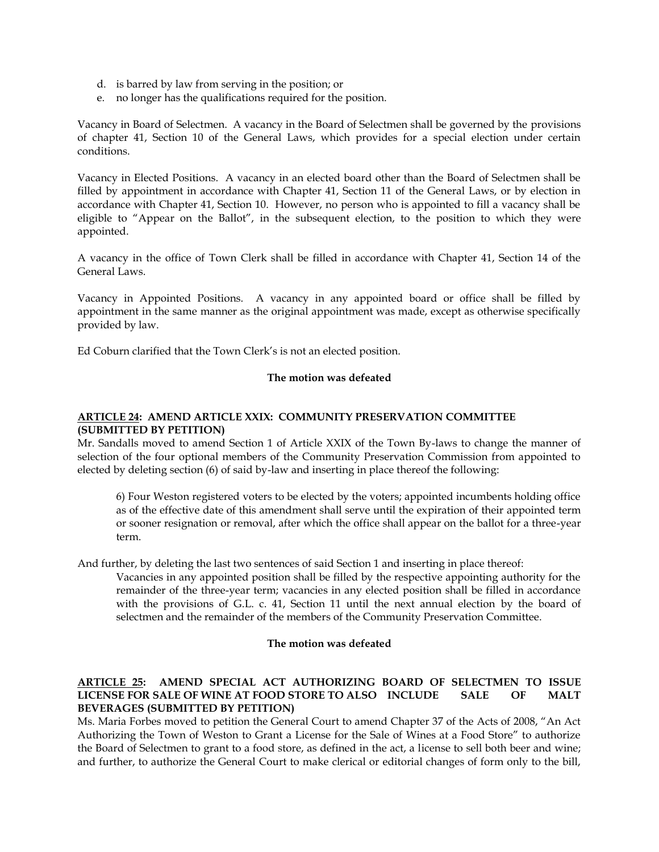- d. is barred by law from serving in the position; or
- e. no longer has the qualifications required for the position.

Vacancy in Board of Selectmen. A vacancy in the Board of Selectmen shall be governed by the provisions of chapter 41, Section 10 of the General Laws, which provides for a special election under certain conditions.

Vacancy in Elected Positions. A vacancy in an elected board other than the Board of Selectmen shall be filled by appointment in accordance with Chapter 41, Section 11 of the General Laws, or by election in accordance with Chapter 41, Section 10. However, no person who is appointed to fill a vacancy shall be eligible to "Appear on the Ballot", in the subsequent election, to the position to which they were appointed.

A vacancy in the office of Town Clerk shall be filled in accordance with Chapter 41, Section 14 of the General Laws.

Vacancy in Appointed Positions. A vacancy in any appointed board or office shall be filled by appointment in the same manner as the original appointment was made, except as otherwise specifically provided by law.

Ed Coburn clarified that the Town Clerk's is not an elected position.

### **The motion was defeated**

# **ARTICLE 24: AMEND ARTICLE XXIX: COMMUNITY PRESERVATION COMMITTEE (SUBMITTED BY PETITION)**

Mr. Sandalls moved to amend Section 1 of Article XXIX of the Town By-laws to change the manner of selection of the four optional members of the Community Preservation Commission from appointed to elected by deleting section (6) of said by-law and inserting in place thereof the following:

6) Four Weston registered voters to be elected by the voters; appointed incumbents holding office as of the effective date of this amendment shall serve until the expiration of their appointed term or sooner resignation or removal, after which the office shall appear on the ballot for a three-year term.

And further, by deleting the last two sentences of said Section 1 and inserting in place thereof:

Vacancies in any appointed position shall be filled by the respective appointing authority for the remainder of the three-year term; vacancies in any elected position shall be filled in accordance with the provisions of G.L. c. 41, Section 11 until the next annual election by the board of selectmen and the remainder of the members of the Community Preservation Committee.

### **The motion was defeated**

# **ARTICLE 25: AMEND SPECIAL ACT AUTHORIZING BOARD OF SELECTMEN TO ISSUE LICENSE FOR SALE OF WINE AT FOOD STORE TO ALSO INCLUDE SALE OF MALT BEVERAGES (SUBMITTED BY PETITION)**

Ms. Maria Forbes moved to petition the General Court to amend Chapter 37 of the Acts of 2008, "An Act Authorizing the Town of Weston to Grant a License for the Sale of Wines at a Food Store" to authorize the Board of Selectmen to grant to a food store, as defined in the act, a license to sell both beer and wine; and further, to authorize the General Court to make clerical or editorial changes of form only to the bill,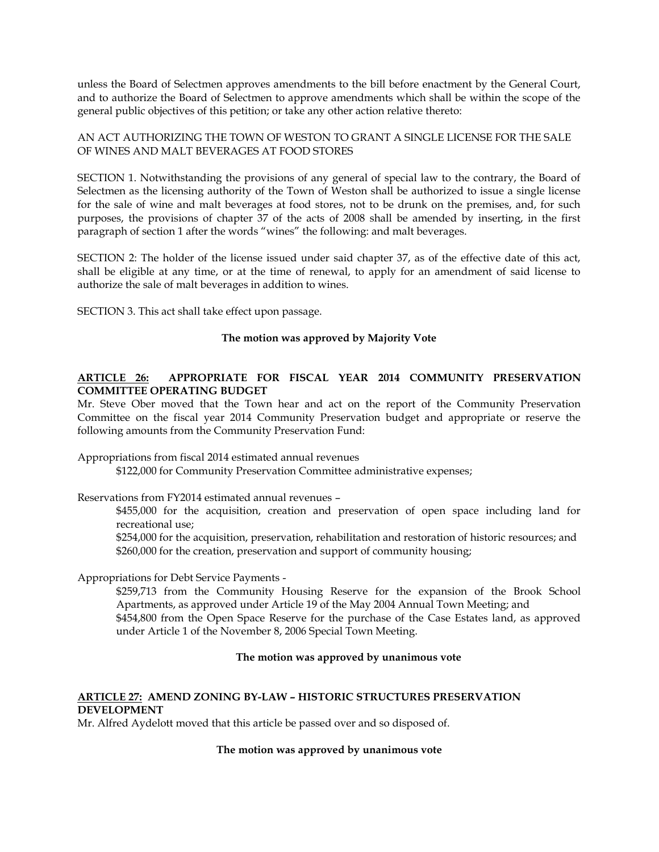unless the Board of Selectmen approves amendments to the bill before enactment by the General Court, and to authorize the Board of Selectmen to approve amendments which shall be within the scope of the general public objectives of this petition; or take any other action relative thereto:

# AN ACT AUTHORIZING THE TOWN OF WESTON TO GRANT A SINGLE LICENSE FOR THE SALE OF WINES AND MALT BEVERAGES AT FOOD STORES

SECTION 1. Notwithstanding the provisions of any general of special law to the contrary, the Board of Selectmen as the licensing authority of the Town of Weston shall be authorized to issue a single license for the sale of wine and malt beverages at food stores, not to be drunk on the premises, and, for such purposes, the provisions of chapter 37 of the acts of 2008 shall be amended by inserting, in the first paragraph of section 1 after the words "wines" the following: and malt beverages.

SECTION 2: The holder of the license issued under said chapter 37, as of the effective date of this act, shall be eligible at any time, or at the time of renewal, to apply for an amendment of said license to authorize the sale of malt beverages in addition to wines.

SECTION 3. This act shall take effect upon passage.

# **The motion was approved by Majority Vote**

# **ARTICLE 26: APPROPRIATE FOR FISCAL YEAR 2014 COMMUNITY PRESERVATION COMMITTEE OPERATING BUDGET**

Mr. Steve Ober moved that the Town hear and act on the report of the Community Preservation Committee on the fiscal year 2014 Community Preservation budget and appropriate or reserve the following amounts from the Community Preservation Fund:

Appropriations from fiscal 2014 estimated annual revenues

\$122,000 for Community Preservation Committee administrative expenses;

Reservations from FY2014 estimated annual revenues –

\$455,000 for the acquisition, creation and preservation of open space including land for recreational use;

\$254,000 for the acquisition, preservation, rehabilitation and restoration of historic resources; and \$260,000 for the creation, preservation and support of community housing;

Appropriations for Debt Service Payments -

\$259,713 from the Community Housing Reserve for the expansion of the Brook School Apartments, as approved under Article 19 of the May 2004 Annual Town Meeting; and \$454,800 from the Open Space Reserve for the purchase of the Case Estates land, as approved under Article 1 of the November 8, 2006 Special Town Meeting.

### **The motion was approved by unanimous vote**

# **ARTICLE 27: AMEND ZONING BY-LAW – HISTORIC STRUCTURES PRESERVATION DEVELOPMENT**

Mr. Alfred Aydelott moved that this article be passed over and so disposed of.

### **The motion was approved by unanimous vote**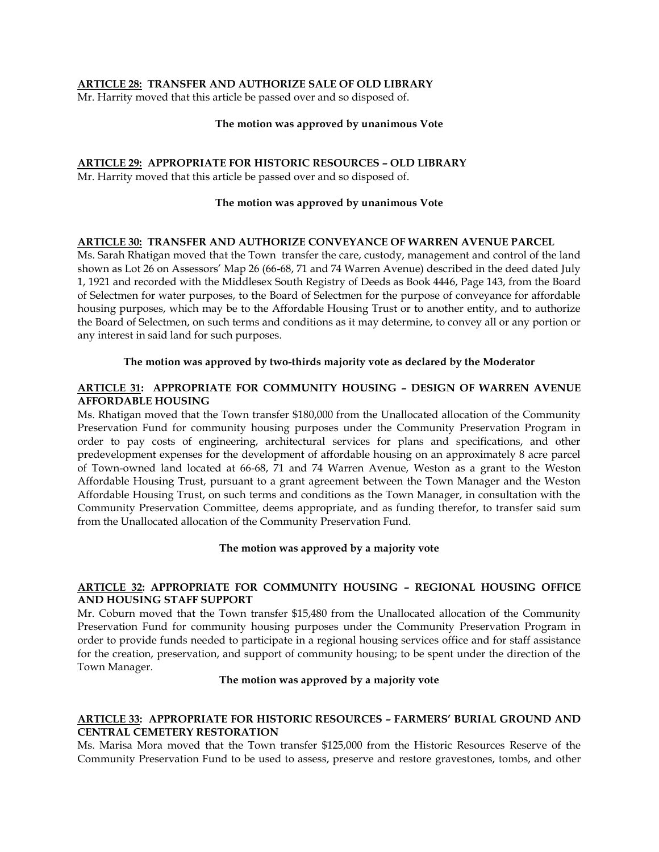### **ARTICLE 28: TRANSFER AND AUTHORIZE SALE OF OLD LIBRARY**

Mr. Harrity moved that this article be passed over and so disposed of.

#### **The motion was approved by unanimous Vote**

# **ARTICLE 29: APPROPRIATE FOR HISTORIC RESOURCES – OLD LIBRARY**

Mr. Harrity moved that this article be passed over and so disposed of.

### **The motion was approved by unanimous Vote**

### **ARTICLE 30: TRANSFER AND AUTHORIZE CONVEYANCE OF WARREN AVENUE PARCEL**

Ms. Sarah Rhatigan moved that the Town transfer the care, custody, management and control of the land shown as Lot 26 on Assessors' Map 26 (66-68, 71 and 74 Warren Avenue) described in the deed dated July 1, 1921 and recorded with the Middlesex South Registry of Deeds as Book 4446, Page 143, from the Board of Selectmen for water purposes, to the Board of Selectmen for the purpose of conveyance for affordable housing purposes, which may be to the Affordable Housing Trust or to another entity, and to authorize the Board of Selectmen, on such terms and conditions as it may determine, to convey all or any portion or any interest in said land for such purposes.

### **The motion was approved by two-thirds majority vote as declared by the Moderator**

### **ARTICLE 31: APPROPRIATE FOR COMMUNITY HOUSING – DESIGN OF WARREN AVENUE AFFORDABLE HOUSING**

Ms. Rhatigan moved that the Town transfer \$180,000 from the Unallocated allocation of the Community Preservation Fund for community housing purposes under the Community Preservation Program in order to pay costs of engineering, architectural services for plans and specifications, and other predevelopment expenses for the development of affordable housing on an approximately 8 acre parcel of Town-owned land located at 66-68, 71 and 74 Warren Avenue, Weston as a grant to the Weston Affordable Housing Trust, pursuant to a grant agreement between the Town Manager and the Weston Affordable Housing Trust, on such terms and conditions as the Town Manager, in consultation with the Community Preservation Committee, deems appropriate, and as funding therefor, to transfer said sum from the Unallocated allocation of the Community Preservation Fund.

### **The motion was approved by a majority vote**

### **ARTICLE 32: APPROPRIATE FOR COMMUNITY HOUSING – REGIONAL HOUSING OFFICE AND HOUSING STAFF SUPPORT**

Mr. Coburn moved that the Town transfer \$15,480 from the Unallocated allocation of the Community Preservation Fund for community housing purposes under the Community Preservation Program in order to provide funds needed to participate in a regional housing services office and for staff assistance for the creation, preservation, and support of community housing; to be spent under the direction of the Town Manager.

#### **The motion was approved by a majority vote**

# **ARTICLE 33: APPROPRIATE FOR HISTORIC RESOURCES – FARMERS' BURIAL GROUND AND CENTRAL CEMETERY RESTORATION**

Ms. Marisa Mora moved that the Town transfer \$125,000 from the Historic Resources Reserve of the Community Preservation Fund to be used to assess, preserve and restore gravestones, tombs, and other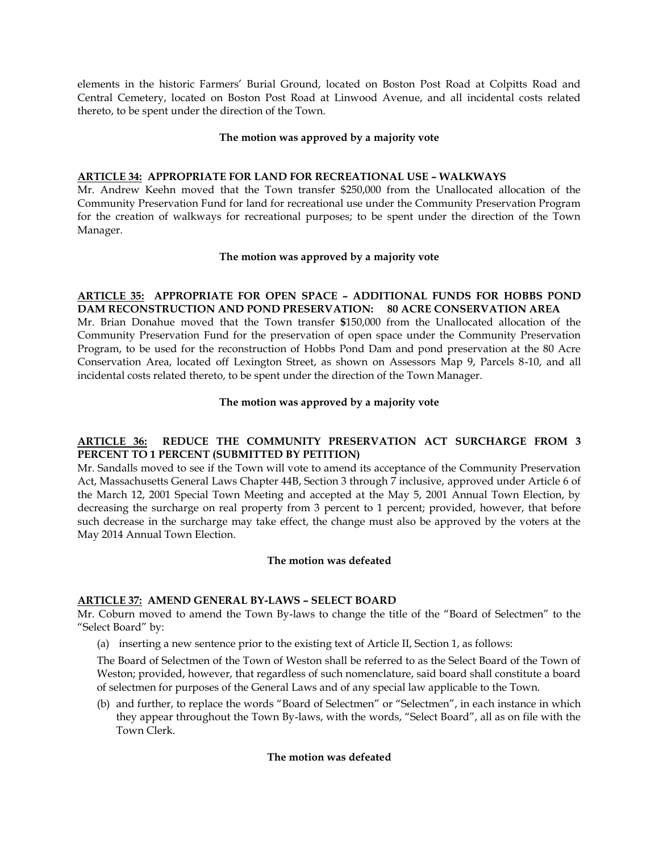elements in the historic Farmers' Burial Ground, located on Boston Post Road at Colpitts Road and Central Cemetery, located on Boston Post Road at Linwood Avenue, and all incidental costs related thereto, to be spent under the direction of the Town.

### **The motion was approved by a majority vote**

# **ARTICLE 34: APPROPRIATE FOR LAND FOR RECREATIONAL USE – WALKWAYS**

Mr. Andrew Keehn moved that the Town transfer \$250,000 from the Unallocated allocation of the Community Preservation Fund for land for recreational use under the Community Preservation Program for the creation of walkways for recreational purposes; to be spent under the direction of the Town Manager.

# **The motion was approved by a majority vote**

# **ARTICLE 35: APPROPRIATE FOR OPEN SPACE – ADDITIONAL FUNDS FOR HOBBS POND DAM RECONSTRUCTION AND POND PRESERVATION: 80 ACRE CONSERVATION AREA**

Mr. Brian Donahue moved that the Town transfer **\$**150,000 from the Unallocated allocation of the Community Preservation Fund for the preservation of open space under the Community Preservation Program, to be used for the reconstruction of Hobbs Pond Dam and pond preservation at the 80 Acre Conservation Area, located off Lexington Street, as shown on Assessors Map 9, Parcels 8-10, and all incidental costs related thereto, to be spent under the direction of the Town Manager.

# **The motion was approved by a majority vote**

# **ARTICLE 36: REDUCE THE COMMUNITY PRESERVATION ACT SURCHARGE FROM 3 PERCENT TO 1 PERCENT (SUBMITTED BY PETITION)**

Mr. Sandalls moved to see if the Town will vote to amend its acceptance of the Community Preservation Act, Massachusetts General Laws Chapter 44B, Section 3 through 7 inclusive, approved under Article 6 of the March 12, 2001 Special Town Meeting and accepted at the May 5, 2001 Annual Town Election, by decreasing the surcharge on real property from 3 percent to 1 percent; provided, however, that before such decrease in the surcharge may take effect, the change must also be approved by the voters at the May 2014 Annual Town Election.

### **The motion was defeated**

# **ARTICLE 37: AMEND GENERAL BY-LAWS – SELECT BOARD**

Mr. Coburn moved to amend the Town By-laws to change the title of the "Board of Selectmen" to the "Select Board" by:

(a) inserting a new sentence prior to the existing text of Article II, Section 1, as follows:

The Board of Selectmen of the Town of Weston shall be referred to as the Select Board of the Town of Weston; provided, however, that regardless of such nomenclature, said board shall constitute a board of selectmen for purposes of the General Laws and of any special law applicable to the Town.

(b) and further, to replace the words "Board of Selectmen" or "Selectmen", in each instance in which they appear throughout the Town By-laws, with the words, "Select Board", all as on file with the Town Clerk.

# **The motion was defeated**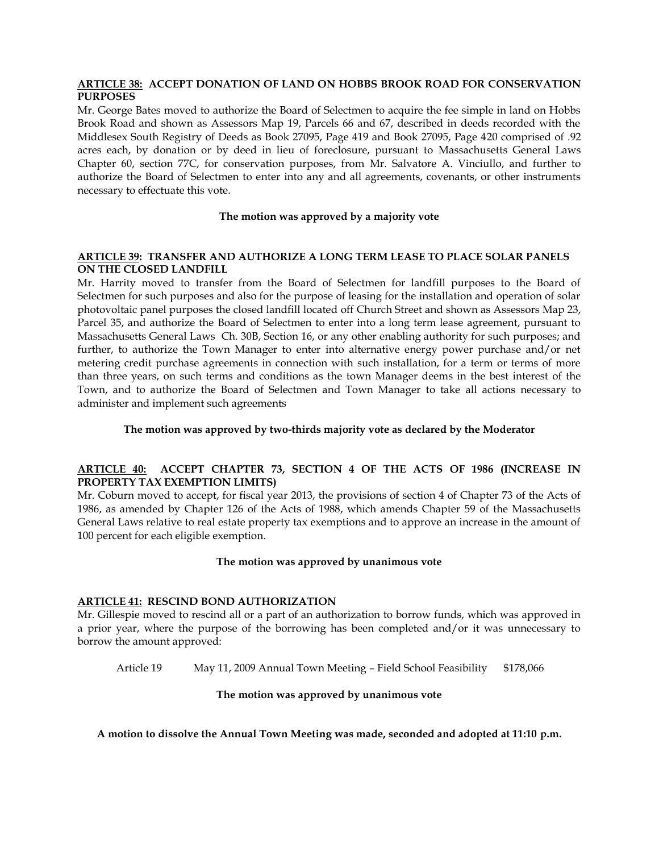### **ARTICLE 38: ACCEPT DONATION OF LAND ON HOBBS BROOK ROAD FOR CONSERVATION PURPOSES**

Mr. George Bates moved to authorize the Board of Selectmen to acquire the fee simple in land on Hobbs Brook Road and shown as Assessors Map 19, Parcels 66 and 67, described in deeds recorded with the Middlesex South Registry of Deeds as Book 27095, Page 419 and Book 27095, Page 420 comprised of .92 acres each, by donation or by deed in lieu of foreclosure, pursuant to Massachusetts General Laws Chapter 60, section 77C, for conservation purposes, from Mr. Salvatore A. Vinciullo, and further to authorize the Board of Selectmen to enter into any and all agreements, covenants, or other instruments necessary to effectuate this vote.

### **The motion was approved by a majority vote**

### **ARTICLE 39: TRANSFER AND AUTHORIZE A LONG TERM LEASE TO PLACE SOLAR PANELS ON THE CLOSED LANDFILL**

Mr. Harrity moved to transfer from the Board of Selectmen for landfill purposes to the Board of Selectmen for such purposes and also for the purpose of leasing for the installation and operation of solar photovoltaic panel purposes the closed landfill located off Church Street and shown as Assessors Map 23, Parcel 35, and authorize the Board of Selectmen to enter into a long term lease agreement, pursuant to Massachusetts General Laws Ch. 30B, Section 16, or any other enabling authority for such purposes; and further, to authorize the Town Manager to enter into alternative energy power purchase and/or net metering credit purchase agreements in connection with such installation, for a term or terms of more than three years, on such terms and conditions as the town Manager deems in the best interest of the Town, and to authorize the Board of Selectmen and Town Manager to take all actions necessary to administer and implement such agreements

# **The motion was approved by two-thirds majority vote as declared by the Moderator**

# **ARTICLE 40: ACCEPT CHAPTER 73, SECTION 4 OF THE ACTS OF 1986 (INCREASE IN PROPERTY TAX EXEMPTION LIMITS)**

Mr. Coburn moved to accept, for fiscal year 2013, the provisions of section 4 of Chapter 73 of the Acts of 1986, as amended by Chapter 126 of the Acts of 1988, which amends Chapter 59 of the Massachusetts General Laws relative to real estate property tax exemptions and to approve an increase in the amount of 100 percent for each eligible exemption.

### **The motion was approved by unanimous vote**

### **ARTICLE 41: RESCIND BOND AUTHORIZATION**

Mr. Gillespie moved to rescind all or a part of an authorization to borrow funds, which was approved in a prior year, where the purpose of the borrowing has been completed and/or it was unnecessary to borrow the amount approved:

Article 19 May 11, 2009 Annual Town Meeting – Field School Feasibility \$178,066

### **The motion was approved by unanimous vote**

**A motion to dissolve the Annual Town Meeting was made, seconded and adopted at 11:10 p.m.**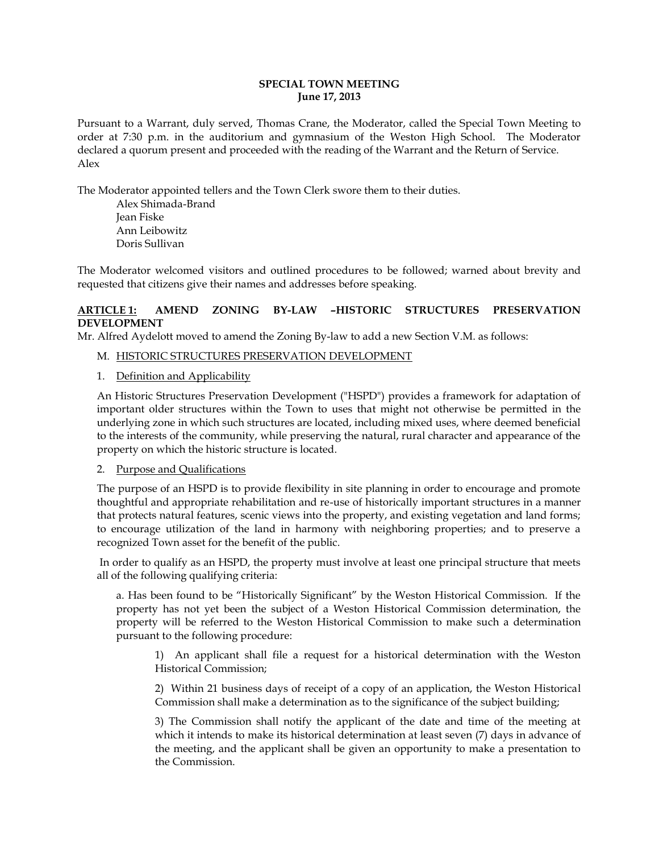### **SPECIAL TOWN MEETING June 17, 2013**

Pursuant to a Warrant, duly served, Thomas Crane, the Moderator, called the Special Town Meeting to order at 7:30 p.m. in the auditorium and gymnasium of the Weston High School. The Moderator declared a quorum present and proceeded with the reading of the Warrant and the Return of Service. Alex

The Moderator appointed tellers and the Town Clerk swore them to their duties.

Alex Shimada-Brand Jean Fiske Ann Leibowitz Doris Sullivan

The Moderator welcomed visitors and outlined procedures to be followed; warned about brevity and requested that citizens give their names and addresses before speaking.

# **ARTICLE 1: AMEND ZONING BY-LAW –HISTORIC STRUCTURES PRESERVATION DEVELOPMENT**

Mr. Alfred Aydelott moved to amend the Zoning By-law to add a new Section V.M. as follows:

- M. HISTORIC STRUCTURES PRESERVATION DEVELOPMENT
- 1. Definition and Applicability

An Historic Structures Preservation Development ("HSPD") provides a framework for adaptation of important older structures within the Town to uses that might not otherwise be permitted in the underlying zone in which such structures are located, including mixed uses, where deemed beneficial to the interests of the community, while preserving the natural, rural character and appearance of the property on which the historic structure is located.

### 2. Purpose and Qualifications

The purpose of an HSPD is to provide flexibility in site planning in order to encourage and promote thoughtful and appropriate rehabilitation and re-use of historically important structures in a manner that protects natural features, scenic views into the property, and existing vegetation and land forms; to encourage utilization of the land in harmony with neighboring properties; and to preserve a recognized Town asset for the benefit of the public.

 In order to qualify as an HSPD, the property must involve at least one principal structure that meets all of the following qualifying criteria:

a. Has been found to be "Historically Significant" by the Weston Historical Commission. If the property has not yet been the subject of a Weston Historical Commission determination, the property will be referred to the Weston Historical Commission to make such a determination pursuant to the following procedure:

1) An applicant shall file a request for a historical determination with the Weston Historical Commission;

 2) Within 21 business days of receipt of a copy of an application, the Weston Historical Commission shall make a determination as to the significance of the subject building;

3) The Commission shall notify the applicant of the date and time of the meeting at which it intends to make its historical determination at least seven (7) days in advance of the meeting, and the applicant shall be given an opportunity to make a presentation to the Commission.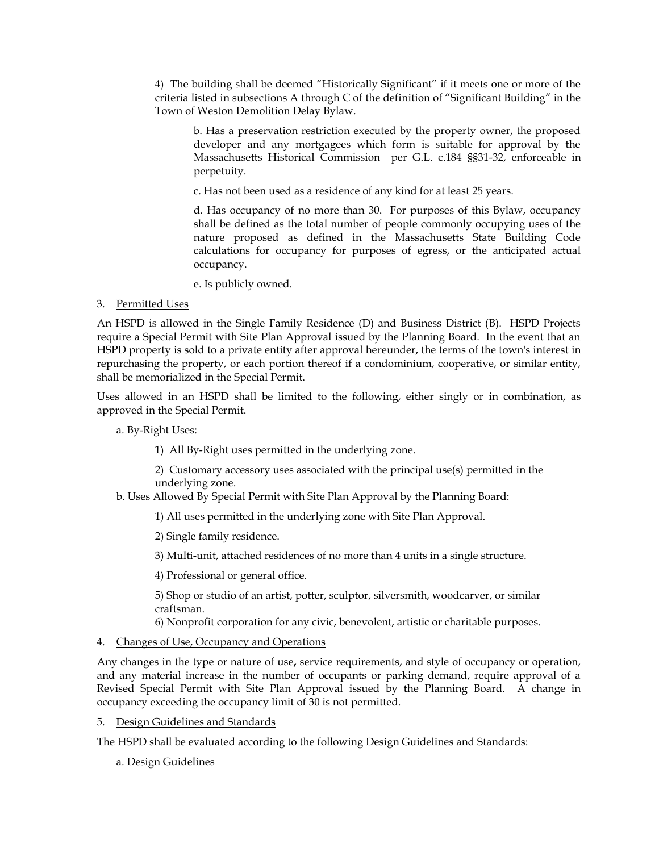4) The building shall be deemed "Historically Significant" if it meets one or more of the criteria listed in subsections A through C of the definition of "Significant Building" in the Town of Weston Demolition Delay Bylaw.

b. Has a preservation restriction executed by the property owner, the proposed developer and any mortgagees which form is suitable for approval by the Massachusetts Historical Commission per G.L. c.184 §§31-32, enforceable in perpetuity.

c. Has not been used as a residence of any kind for at least 25 years.

d. Has occupancy of no more than 30. For purposes of this Bylaw, occupancy shall be defined as the total number of people commonly occupying uses of the nature proposed as defined in the Massachusetts State Building Code calculations for occupancy for purposes of egress, or the anticipated actual occupancy.

e. Is publicly owned.

# 3. Permitted Uses

An HSPD is allowed in the Single Family Residence (D) and Business District (B). HSPD Projects require a Special Permit with Site Plan Approval issued by the Planning Board. In the event that an HSPD property is sold to a private entity after approval hereunder, the terms of the town's interest in repurchasing the property, or each portion thereof if a condominium, cooperative, or similar entity, shall be memorialized in the Special Permit.

Uses allowed in an HSPD shall be limited to the following, either singly or in combination, as approved in the Special Permit.

a. By-Right Uses:

1) All By-Right uses permitted in the underlying zone.

 2) Customary accessory uses associated with the principal use(s) permitted in the underlying zone.

b. Uses Allowed By Special Permit with Site Plan Approval by the Planning Board:

1) All uses permitted in the underlying zone with Site Plan Approval.

2) Single family residence.

3) Multi-unit, attached residences of no more than 4 units in a single structure.

4) Professional or general office.

 5) Shop or studio of an artist, potter, sculptor, silversmith, woodcarver, or similar craftsman.

6) Nonprofit corporation for any civic, benevolent, artistic or charitable purposes.

# 4. Changes of Use, Occupancy and Operations

Any changes in the type or nature of use**,** service requirements, and style of occupancy or operation, and any material increase in the number of occupants or parking demand, require approval of a Revised Special Permit with Site Plan Approval issued by the Planning Board. A change in occupancy exceeding the occupancy limit of 30 is not permitted.

# 5. Design Guidelines and Standards

The HSPD shall be evaluated according to the following Design Guidelines and Standards:

# a. Design Guidelines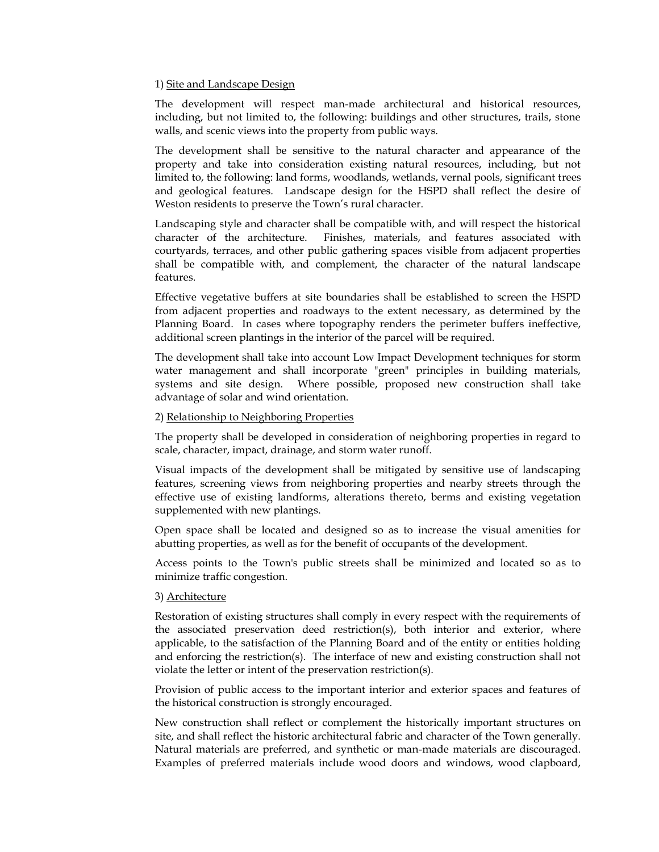#### 1) Site and Landscape Design

The development will respect man-made architectural and historical resources, including, but not limited to, the following: buildings and other structures, trails, stone walls, and scenic views into the property from public ways.

The development shall be sensitive to the natural character and appearance of the property and take into consideration existing natural resources, including, but not limited to, the following: land forms, woodlands, wetlands, vernal pools, significant trees and geological features. Landscape design for the HSPD shall reflect the desire of Weston residents to preserve the Town's rural character.

Landscaping style and character shall be compatible with, and will respect the historical character of the architecture. Finishes, materials, and features associated with courtyards, terraces, and other public gathering spaces visible from adjacent properties shall be compatible with, and complement, the character of the natural landscape features.

Effective vegetative buffers at site boundaries shall be established to screen the HSPD from adjacent properties and roadways to the extent necessary, as determined by the Planning Board. In cases where topography renders the perimeter buffers ineffective, additional screen plantings in the interior of the parcel will be required.

The development shall take into account Low Impact Development techniques for storm water management and shall incorporate "green" principles in building materials, systems and site design. Where possible, proposed new construction shall take advantage of solar and wind orientation.

### 2) Relationship to Neighboring Properties

The property shall be developed in consideration of neighboring properties in regard to scale, character, impact, drainage, and storm water runoff.

Visual impacts of the development shall be mitigated by sensitive use of landscaping features, screening views from neighboring properties and nearby streets through the effective use of existing landforms, alterations thereto, berms and existing vegetation supplemented with new plantings.

Open space shall be located and designed so as to increase the visual amenities for abutting properties, as well as for the benefit of occupants of the development.

Access points to the Town's public streets shall be minimized and located so as to minimize traffic congestion.

### 3) Architecture

Restoration of existing structures shall comply in every respect with the requirements of the associated preservation deed restriction(s), both interior and exterior, where applicable, to the satisfaction of the Planning Board and of the entity or entities holding and enforcing the restriction(s). The interface of new and existing construction shall not violate the letter or intent of the preservation restriction(s).

Provision of public access to the important interior and exterior spaces and features of the historical construction is strongly encouraged.

New construction shall reflect or complement the historically important structures on site, and shall reflect the historic architectural fabric and character of the Town generally. Natural materials are preferred, and synthetic or man-made materials are discouraged. Examples of preferred materials include wood doors and windows, wood clapboard,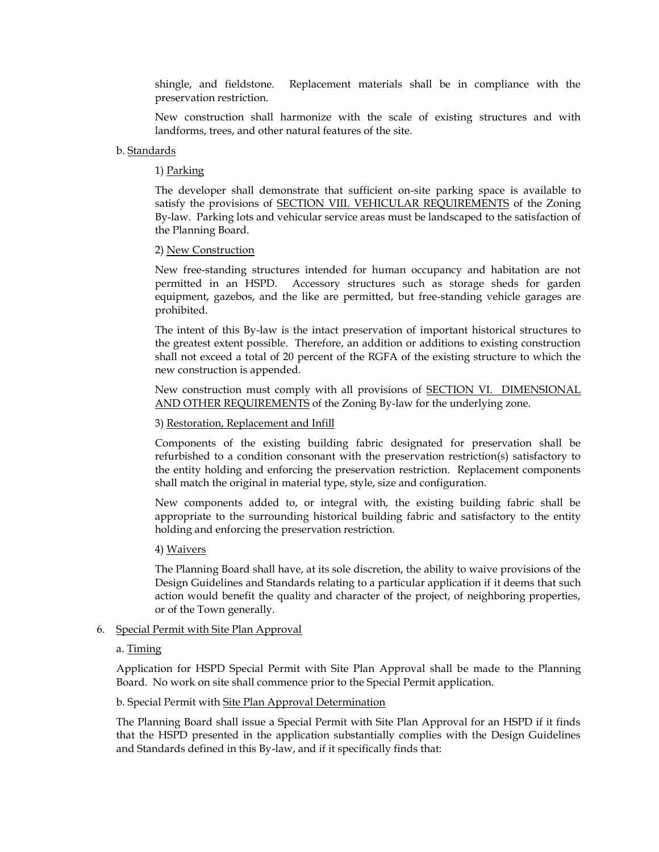shingle, and fieldstone. Replacement materials shall be in compliance with the preservation restriction.

New construction shall harmonize with the scale of existing structures and with landforms, trees, and other natural features of the site.

#### b. Standards

#### 1) Parking

The developer shall demonstrate that sufficient on-site parking space is available to satisfy the provisions of SECTION VIII. VEHICULAR REQUIREMENTS of the Zoning By-law. Parking lots and vehicular service areas must be landscaped to the satisfaction of the Planning Board.

#### 2) New Construction

New free-standing structures intended for human occupancy and habitation are not permitted in an HSPD. Accessory structures such as storage sheds for garden equipment, gazebos, and the like are permitted, but free-standing vehicle garages are prohibited.

The intent of this By-law is the intact preservation of important historical structures to the greatest extent possible. Therefore, an addition or additions to existing construction shall not exceed a total of 20 percent of the RGFA of the existing structure to which the new construction is appended.

New construction must comply with all provisions of SECTION VI. DIMENSIONAL AND OTHER REQUIREMENTS of the Zoning By-law for the underlying zone.

### 3) Restoration, Replacement and Infill

Components of the existing building fabric designated for preservation shall be refurbished to a condition consonant with the preservation restriction(s) satisfactory to the entity holding and enforcing the preservation restriction. Replacement components shall match the original in material type, style, size and configuration.

New components added to, or integral with, the existing building fabric shall be appropriate to the surrounding historical building fabric and satisfactory to the entity holding and enforcing the preservation restriction.

#### 4) Waivers

The Planning Board shall have, at its sole discretion, the ability to waive provisions of the Design Guidelines and Standards relating to a particular application if it deems that such action would benefit the quality and character of the project, of neighboring properties, or of the Town generally.

#### 6. Special Permit with Site Plan Approval

#### a. Timing

Application for HSPD Special Permit with Site Plan Approval shall be made to the Planning Board. No work on site shall commence prior to the Special Permit application.

#### b. Special Permit with Site Plan Approval Determination

The Planning Board shall issue a Special Permit with Site Plan Approval for an HSPD if it finds that the HSPD presented in the application substantially complies with the Design Guidelines and Standards defined in this By-law, and if it specifically finds that: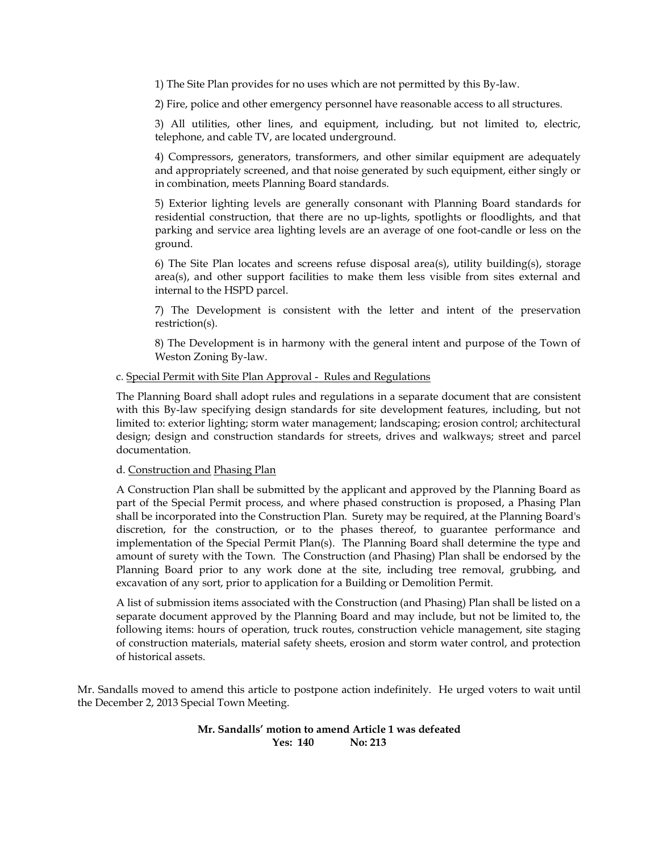1) The Site Plan provides for no uses which are not permitted by this By-law.

2) Fire, police and other emergency personnel have reasonable access to all structures.

3) All utilities, other lines, and equipment, including, but not limited to, electric, telephone, and cable TV, are located underground.

4) Compressors, generators, transformers, and other similar equipment are adequately and appropriately screened, and that noise generated by such equipment, either singly or in combination, meets Planning Board standards.

5) Exterior lighting levels are generally consonant with Planning Board standards for residential construction, that there are no up-lights, spotlights or floodlights, and that parking and service area lighting levels are an average of one foot-candle or less on the ground.

6) The Site Plan locates and screens refuse disposal area(s), utility building(s), storage area(s), and other support facilities to make them less visible from sites external and internal to the HSPD parcel.

7) The Development is consistent with the letter and intent of the preservation restriction(s).

8) The Development is in harmony with the general intent and purpose of the Town of Weston Zoning By-law.

### c. Special Permit with Site Plan Approval - Rules and Regulations

The Planning Board shall adopt rules and regulations in a separate document that are consistent with this By-law specifying design standards for site development features, including, but not limited to: exterior lighting; storm water management; landscaping; erosion control; architectural design; design and construction standards for streets, drives and walkways; street and parcel documentation.

d. Construction and Phasing Plan

A Construction Plan shall be submitted by the applicant and approved by the Planning Board as part of the Special Permit process, and where phased construction is proposed, a Phasing Plan shall be incorporated into the Construction Plan. Surety may be required, at the Planning Board's discretion, for the construction, or to the phases thereof, to guarantee performance and implementation of the Special Permit Plan(s). The Planning Board shall determine the type and amount of surety with the Town. The Construction (and Phasing) Plan shall be endorsed by the Planning Board prior to any work done at the site, including tree removal, grubbing, and excavation of any sort, prior to application for a Building or Demolition Permit.

A list of submission items associated with the Construction (and Phasing) Plan shall be listed on a separate document approved by the Planning Board and may include, but not be limited to, the following items: hours of operation, truck routes, construction vehicle management, site staging of construction materials, material safety sheets, erosion and storm water control, and protection of historical assets.

Mr. Sandalls moved to amend this article to postpone action indefinitely. He urged voters to wait until the December 2, 2013 Special Town Meeting.

### **Mr. Sandalls' motion to amend Article 1 was defeated Yes: 140 No: 213**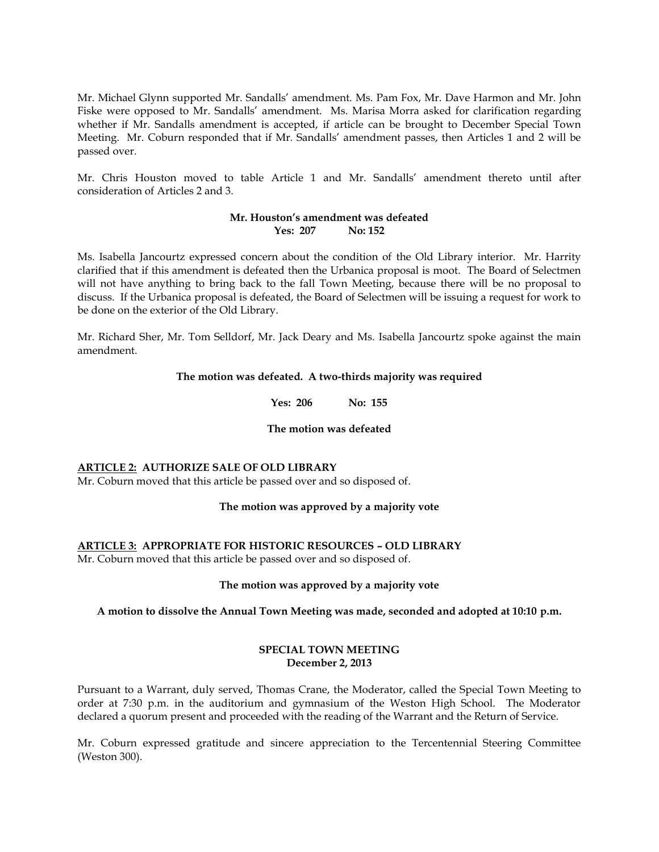Mr. Michael Glynn supported Mr. Sandalls' amendment. Ms. Pam Fox, Mr. Dave Harmon and Mr. John Fiske were opposed to Mr. Sandalls' amendment. Ms. Marisa Morra asked for clarification regarding whether if Mr. Sandalls amendment is accepted, if article can be brought to December Special Town Meeting. Mr. Coburn responded that if Mr. Sandalls' amendment passes, then Articles 1 and 2 will be passed over.

Mr. Chris Houston moved to table Article 1 and Mr. Sandalls' amendment thereto until after consideration of Articles 2 and 3.

### **Mr. Houston's amendment was defeated Yes: 207 No: 152**

Ms. Isabella Jancourtz expressed concern about the condition of the Old Library interior. Mr. Harrity clarified that if this amendment is defeated then the Urbanica proposal is moot. The Board of Selectmen will not have anything to bring back to the fall Town Meeting, because there will be no proposal to discuss. If the Urbanica proposal is defeated, the Board of Selectmen will be issuing a request for work to be done on the exterior of the Old Library.

Mr. Richard Sher, Mr. Tom Selldorf, Mr. Jack Deary and Ms. Isabella Jancourtz spoke against the main amendment.

### **The motion was defeated. A two-thirds majority was required**

**Yes: 206 No: 155** 

### **The motion was defeated**

# **ARTICLE 2: AUTHORIZE SALE OF OLD LIBRARY**

Mr. Coburn moved that this article be passed over and so disposed of.

# **The motion was approved by a majority vote**

# **ARTICLE 3: APPROPRIATE FOR HISTORIC RESOURCES – OLD LIBRARY**

Mr. Coburn moved that this article be passed over and so disposed of.

### **The motion was approved by a majority vote**

# **A motion to dissolve the Annual Town Meeting was made, seconded and adopted at 10:10 p.m.**

### **SPECIAL TOWN MEETING December 2, 2013**

Pursuant to a Warrant, duly served, Thomas Crane, the Moderator, called the Special Town Meeting to order at 7:30 p.m. in the auditorium and gymnasium of the Weston High School. The Moderator declared a quorum present and proceeded with the reading of the Warrant and the Return of Service.

Mr. Coburn expressed gratitude and sincere appreciation to the Tercentennial Steering Committee (Weston 300).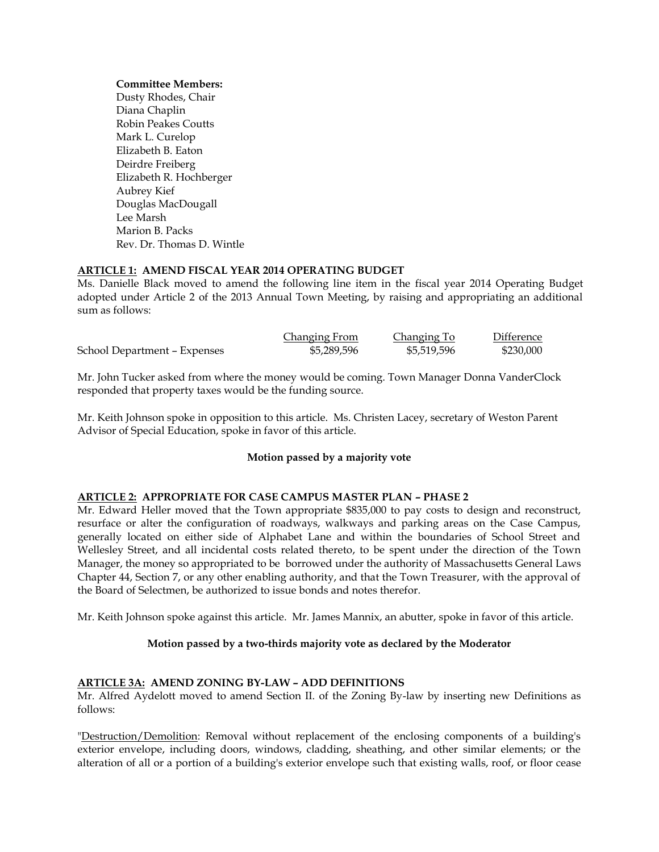#### **Committee Members:**

Dusty Rhodes, Chair Diana Chaplin Robin Peakes Coutts Mark L. Curelop Elizabeth B. Eaton Deirdre Freiberg Elizabeth R. Hochberger Aubrey Kief Douglas MacDougall Lee Marsh Marion B. Packs Rev. Dr. Thomas D. Wintle

# **ARTICLE 1: AMEND FISCAL YEAR 2014 OPERATING BUDGET**

Ms. Danielle Black moved to amend the following line item in the fiscal year 2014 Operating Budget adopted under Article 2 of the 2013 Annual Town Meeting, by raising and appropriating an additional sum as follows:

|                              | Changing From | <b>Changing To</b> | <b>Difference</b> |
|------------------------------|---------------|--------------------|-------------------|
| School Department - Expenses | \$5,289,596   | \$5,519,596        | \$230,000         |

Mr. John Tucker asked from where the money would be coming. Town Manager Donna VanderClock responded that property taxes would be the funding source.

Mr. Keith Johnson spoke in opposition to this article. Ms. Christen Lacey, secretary of Weston Parent Advisor of Special Education, spoke in favor of this article.

### **Motion passed by a majority vote**

### **ARTICLE 2: APPROPRIATE FOR CASE CAMPUS MASTER PLAN – PHASE 2**

Mr. Edward Heller moved that the Town appropriate \$835,000 to pay costs to design and reconstruct, resurface or alter the configuration of roadways, walkways and parking areas on the Case Campus, generally located on either side of Alphabet Lane and within the boundaries of School Street and Wellesley Street, and all incidental costs related thereto, to be spent under the direction of the Town Manager, the money so appropriated to be borrowed under the authority of Massachusetts General Laws Chapter 44, Section 7, or any other enabling authority, and that the Town Treasurer, with the approval of the Board of Selectmen, be authorized to issue bonds and notes therefor.

Mr. Keith Johnson spoke against this article. Mr. James Mannix, an abutter, spoke in favor of this article.

### **Motion passed by a two-thirds majority vote as declared by the Moderator**

### **ARTICLE 3A: AMEND ZONING BY-LAW – ADD DEFINITIONS**

Mr. Alfred Aydelott moved to amend Section II. of the Zoning By-law by inserting new Definitions as follows:

"Destruction/Demolition: Removal without replacement of the enclosing components of a building's exterior envelope, including doors, windows, cladding, sheathing, and other similar elements; or the alteration of all or a portion of a building's exterior envelope such that existing walls, roof, or floor cease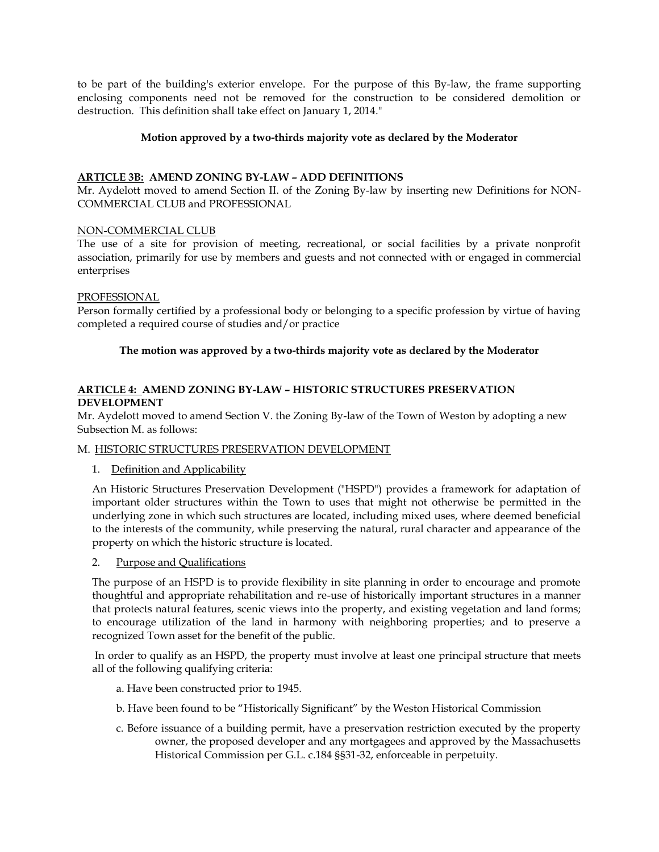to be part of the building's exterior envelope. For the purpose of this By-law, the frame supporting enclosing components need not be removed for the construction to be considered demolition or destruction. This definition shall take effect on January 1, 2014."

# **Motion approved by a two-thirds majority vote as declared by the Moderator**

# **ARTICLE 3B: AMEND ZONING BY-LAW – ADD DEFINITIONS**

Mr. Aydelott moved to amend Section II. of the Zoning By-law by inserting new Definitions for NON-COMMERCIAL CLUB and PROFESSIONAL

# NON-COMMERCIAL CLUB

The use of a site for provision of meeting, recreational, or social facilities by a private nonprofit association, primarily for use by members and guests and not connected with or engaged in commercial enterprises

# PROFESSIONAL

Person formally certified by a professional body or belonging to a specific profession by virtue of having completed a required course of studies and/or practice

# **The motion was approved by a two-thirds majority vote as declared by the Moderator**

# **ARTICLE 4: AMEND ZONING BY-LAW – HISTORIC STRUCTURES PRESERVATION DEVELOPMENT**

Mr. Aydelott moved to amend Section V. the Zoning By-law of the Town of Weston by adopting a new Subsection M. as follows:

### M. HISTORIC STRUCTURES PRESERVATION DEVELOPMENT

1. Definition and Applicability

 An Historic Structures Preservation Development ("HSPD") provides a framework for adaptation of important older structures within the Town to uses that might not otherwise be permitted in the underlying zone in which such structures are located, including mixed uses, where deemed beneficial to the interests of the community, while preserving the natural, rural character and appearance of the property on which the historic structure is located.

2. Purpose and Qualifications

 The purpose of an HSPD is to provide flexibility in site planning in order to encourage and promote thoughtful and appropriate rehabilitation and re-use of historically important structures in a manner that protects natural features, scenic views into the property, and existing vegetation and land forms; to encourage utilization of the land in harmony with neighboring properties; and to preserve a recognized Town asset for the benefit of the public.

 In order to qualify as an HSPD, the property must involve at least one principal structure that meets all of the following qualifying criteria:

- a. Have been constructed prior to 1945.
- b. Have been found to be "Historically Significant" by the Weston Historical Commission
- c. Before issuance of a building permit, have a preservation restriction executed by the property owner, the proposed developer and any mortgagees and approved by the Massachusetts Historical Commission per G.L. c.184 §§31-32, enforceable in perpetuity.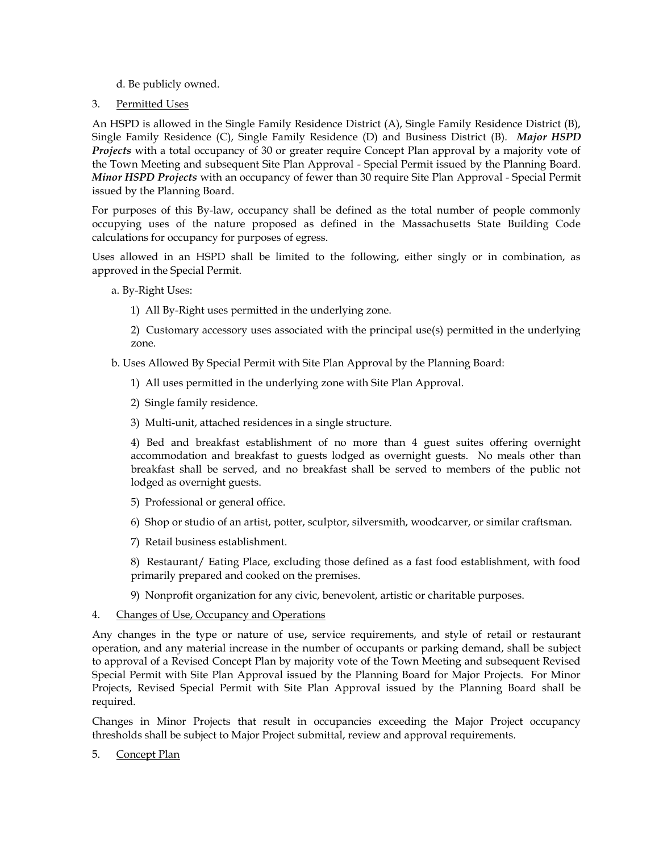d. Be publicly owned.

# 3. Permitted Uses

 An HSPD is allowed in the Single Family Residence District (A), Single Family Residence District (B), Single Family Residence (C), Single Family Residence (D) and Business District (B). *Major HSPD Projects* with a total occupancy of 30 or greater require Concept Plan approval by a majority vote of the Town Meeting and subsequent Site Plan Approval - Special Permit issued by the Planning Board. *Minor HSPD Projects* with an occupancy of fewer than 30 require Site Plan Approval - Special Permit issued by the Planning Board.

 For purposes of this By-law, occupancy shall be defined as the total number of people commonly occupying uses of the nature proposed as defined in the Massachusetts State Building Code calculations for occupancy for purposes of egress.

 Uses allowed in an HSPD shall be limited to the following, either singly or in combination, as approved in the Special Permit.

a. By-Right Uses:

1) All By-Right uses permitted in the underlying zone.

 2) Customary accessory uses associated with the principal use(s) permitted in the underlying zone.

b. Uses Allowed By Special Permit with Site Plan Approval by the Planning Board:

- 1) All uses permitted in the underlying zone with Site Plan Approval.
- 2) Single family residence.
- 3) Multi-unit, attached residences in a single structure.

4) Bed and breakfast establishment of no more than 4 guest suites offering overnight accommodation and breakfast to guests lodged as overnight guests. No meals other than breakfast shall be served, and no breakfast shall be served to members of the public not lodged as overnight guests.

- 5) Professional or general office.
- 6) Shop or studio of an artist, potter, sculptor, silversmith, woodcarver, or similar craftsman.
- 7) Retail business establishment.

8) Restaurant/ Eating Place, excluding those defined as a fast food establishment, with food primarily prepared and cooked on the premises.

- 9) Nonprofit organization for any civic, benevolent, artistic or charitable purposes.
- 4. Changes of Use, Occupancy and Operations

 Any changes in the type or nature of use**,** service requirements, and style of retail or restaurant operation, and any material increase in the number of occupants or parking demand, shall be subject to approval of a Revised Concept Plan by majority vote of the Town Meeting and subsequent Revised Special Permit with Site Plan Approval issued by the Planning Board for Major Projects. For Minor Projects, Revised Special Permit with Site Plan Approval issued by the Planning Board shall be required.

 Changes in Minor Projects that result in occupancies exceeding the Major Project occupancy thresholds shall be subject to Major Project submittal, review and approval requirements.

5. Concept Plan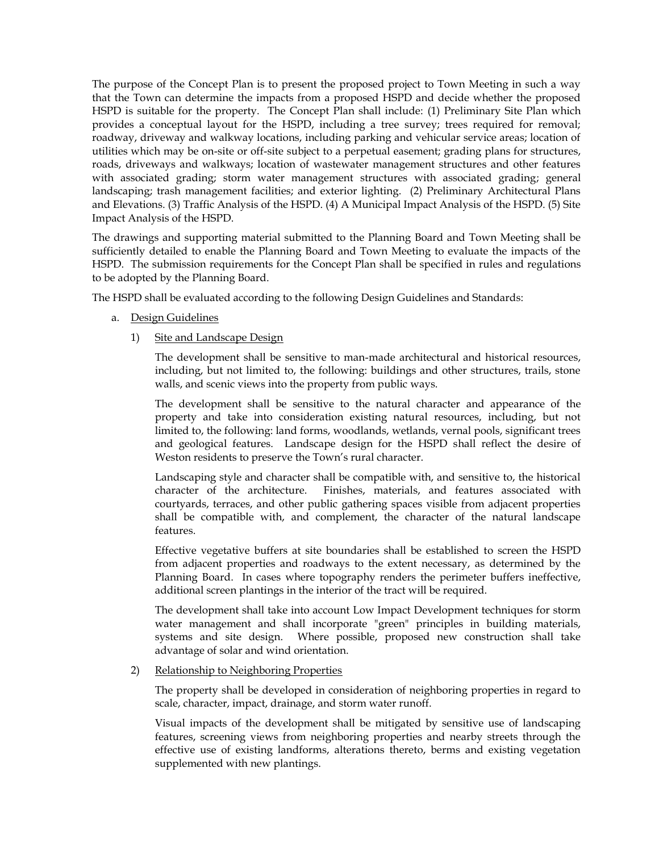The purpose of the Concept Plan is to present the proposed project to Town Meeting in such a way that the Town can determine the impacts from a proposed HSPD and decide whether the proposed HSPD is suitable for the property. The Concept Plan shall include: (1) Preliminary Site Plan which provides a conceptual layout for the HSPD, including a tree survey; trees required for removal; roadway, driveway and walkway locations, including parking and vehicular service areas; location of utilities which may be on-site or off-site subject to a perpetual easement; grading plans for structures, roads, driveways and walkways; location of wastewater management structures and other features with associated grading; storm water management structures with associated grading; general landscaping; trash management facilities; and exterior lighting. (2) Preliminary Architectural Plans and Elevations. (3) Traffic Analysis of the HSPD. (4) A Municipal Impact Analysis of the HSPD. (5) Site Impact Analysis of the HSPD.

 The drawings and supporting material submitted to the Planning Board and Town Meeting shall be sufficiently detailed to enable the Planning Board and Town Meeting to evaluate the impacts of the HSPD. The submission requirements for the Concept Plan shall be specified in rules and regulations to be adopted by the Planning Board.

The HSPD shall be evaluated according to the following Design Guidelines and Standards:

- a. Design Guidelines
	- 1) Site and Landscape Design

 The development shall be sensitive to man-made architectural and historical resources, including, but not limited to, the following: buildings and other structures, trails, stone walls, and scenic views into the property from public ways.

The development shall be sensitive to the natural character and appearance of the property and take into consideration existing natural resources, including, but not limited to, the following: land forms, woodlands, wetlands, vernal pools, significant trees and geological features. Landscape design for the HSPD shall reflect the desire of Weston residents to preserve the Town's rural character.

Landscaping style and character shall be compatible with, and sensitive to, the historical character of the architecture. Finishes, materials, and features associated with courtyards, terraces, and other public gathering spaces visible from adjacent properties shall be compatible with, and complement, the character of the natural landscape features.

Effective vegetative buffers at site boundaries shall be established to screen the HSPD from adjacent properties and roadways to the extent necessary, as determined by the Planning Board. In cases where topography renders the perimeter buffers ineffective, additional screen plantings in the interior of the tract will be required.

The development shall take into account Low Impact Development techniques for storm water management and shall incorporate "green" principles in building materials, systems and site design. Where possible, proposed new construction shall take advantage of solar and wind orientation.

# 2) Relationship to Neighboring Properties

The property shall be developed in consideration of neighboring properties in regard to scale, character, impact, drainage, and storm water runoff.

 Visual impacts of the development shall be mitigated by sensitive use of landscaping features, screening views from neighboring properties and nearby streets through the effective use of existing landforms, alterations thereto, berms and existing vegetation supplemented with new plantings.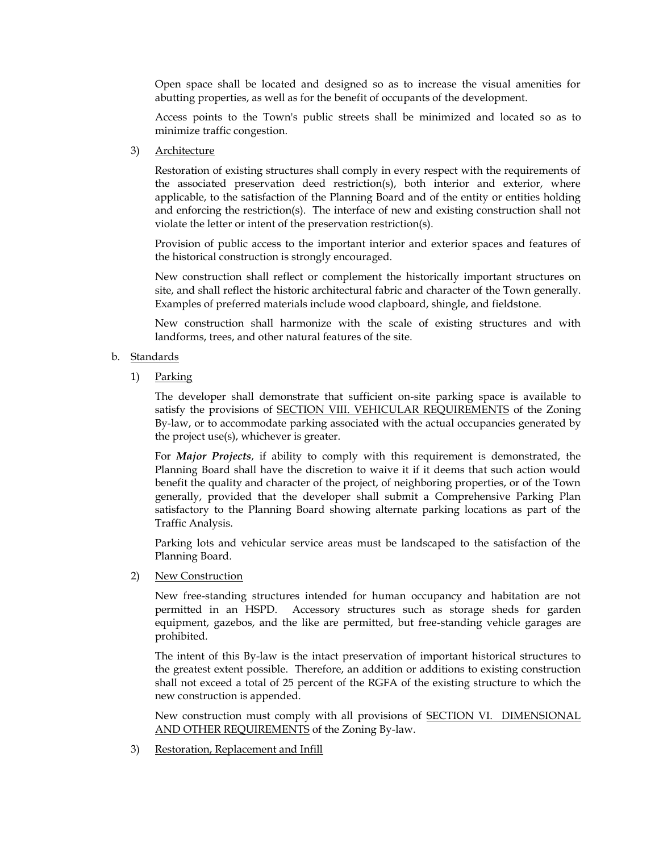Open space shall be located and designed so as to increase the visual amenities for abutting properties, as well as for the benefit of occupants of the development.

 Access points to the Town's public streets shall be minimized and located so as to minimize traffic congestion.

3) Architecture

Restoration of existing structures shall comply in every respect with the requirements of the associated preservation deed restriction(s), both interior and exterior, where applicable, to the satisfaction of the Planning Board and of the entity or entities holding and enforcing the restriction(s). The interface of new and existing construction shall not violate the letter or intent of the preservation restriction(s).

Provision of public access to the important interior and exterior spaces and features of the historical construction is strongly encouraged.

New construction shall reflect or complement the historically important structures on site, and shall reflect the historic architectural fabric and character of the Town generally. Examples of preferred materials include wood clapboard, shingle, and fieldstone.

New construction shall harmonize with the scale of existing structures and with landforms, trees, and other natural features of the site.

- b. Standards
	- 1) Parking

The developer shall demonstrate that sufficient on-site parking space is available to satisfy the provisions of SECTION VIII. VEHICULAR REQUIREMENTS of the Zoning By-law, or to accommodate parking associated with the actual occupancies generated by the project use(s), whichever is greater.

For *Major Projects*, if ability to comply with this requirement is demonstrated, the Planning Board shall have the discretion to waive it if it deems that such action would benefit the quality and character of the project, of neighboring properties, or of the Town generally, provided that the developer shall submit a Comprehensive Parking Plan satisfactory to the Planning Board showing alternate parking locations as part of the Traffic Analysis.

Parking lots and vehicular service areas must be landscaped to the satisfaction of the Planning Board.

2) New Construction

New free-standing structures intended for human occupancy and habitation are not permitted in an HSPD. Accessory structures such as storage sheds for garden equipment, gazebos, and the like are permitted, but free-standing vehicle garages are prohibited.

The intent of this By-law is the intact preservation of important historical structures to the greatest extent possible. Therefore, an addition or additions to existing construction shall not exceed a total of 25 percent of the RGFA of the existing structure to which the new construction is appended.

New construction must comply with all provisions of SECTION VI. DIMENSIONAL AND OTHER REQUIREMENTS of the Zoning By-law.

3) Restoration, Replacement and Infill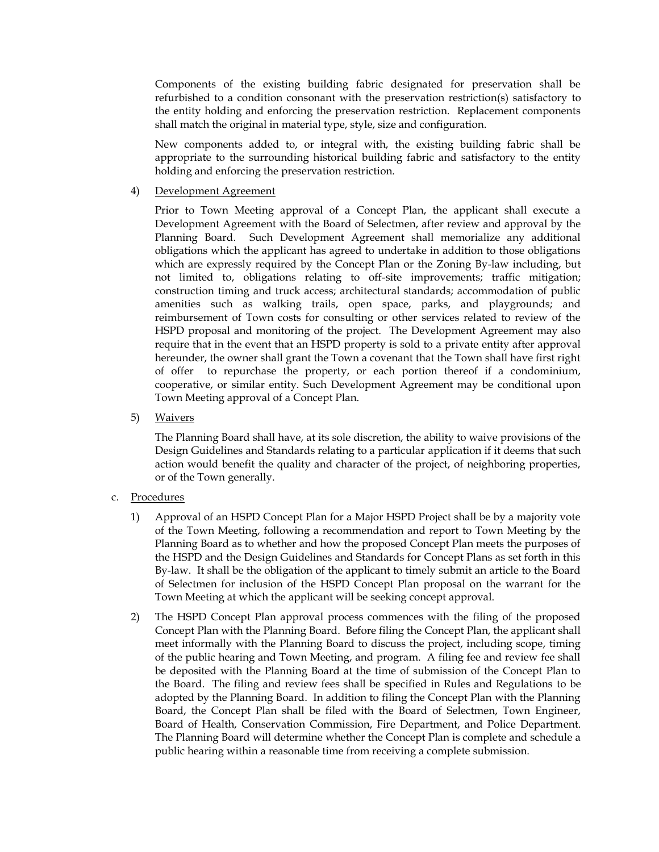Components of the existing building fabric designated for preservation shall be refurbished to a condition consonant with the preservation restriction(s) satisfactory to the entity holding and enforcing the preservation restriction. Replacement components shall match the original in material type, style, size and configuration.

 New components added to, or integral with, the existing building fabric shall be appropriate to the surrounding historical building fabric and satisfactory to the entity holding and enforcing the preservation restriction.

### 4) Development Agreement

Prior to Town Meeting approval of a Concept Plan, the applicant shall execute a Development Agreement with the Board of Selectmen, after review and approval by the Planning Board. Such Development Agreement shall memorialize any additional obligations which the applicant has agreed to undertake in addition to those obligations which are expressly required by the Concept Plan or the Zoning By-law including, but not limited to, obligations relating to off-site improvements; traffic mitigation; construction timing and truck access; architectural standards; accommodation of public amenities such as walking trails, open space, parks, and playgrounds; and reimbursement of Town costs for consulting or other services related to review of the HSPD proposal and monitoring of the project. The Development Agreement may also require that in the event that an HSPD property is sold to a private entity after approval hereunder, the owner shall grant the Town a covenant that the Town shall have first right of offer to repurchase the property, or each portion thereof if a condominium, cooperative, or similar entity. Such Development Agreement may be conditional upon Town Meeting approval of a Concept Plan.

5) Waivers

The Planning Board shall have, at its sole discretion, the ability to waive provisions of the Design Guidelines and Standards relating to a particular application if it deems that such action would benefit the quality and character of the project, of neighboring properties, or of the Town generally.

### c. Procedures

- 1) Approval of an HSPD Concept Plan for a Major HSPD Project shall be by a majority vote of the Town Meeting, following a recommendation and report to Town Meeting by the Planning Board as to whether and how the proposed Concept Plan meets the purposes of the HSPD and the Design Guidelines and Standards for Concept Plans as set forth in this By-law. It shall be the obligation of the applicant to timely submit an article to the Board of Selectmen for inclusion of the HSPD Concept Plan proposal on the warrant for the Town Meeting at which the applicant will be seeking concept approval.
- 2) The HSPD Concept Plan approval process commences with the filing of the proposed Concept Plan with the Planning Board. Before filing the Concept Plan, the applicant shall meet informally with the Planning Board to discuss the project, including scope, timing of the public hearing and Town Meeting, and program. A filing fee and review fee shall be deposited with the Planning Board at the time of submission of the Concept Plan to the Board. The filing and review fees shall be specified in Rules and Regulations to be adopted by the Planning Board. In addition to filing the Concept Plan with the Planning Board, the Concept Plan shall be filed with the Board of Selectmen, Town Engineer, Board of Health, Conservation Commission, Fire Department, and Police Department. The Planning Board will determine whether the Concept Plan is complete and schedule a public hearing within a reasonable time from receiving a complete submission.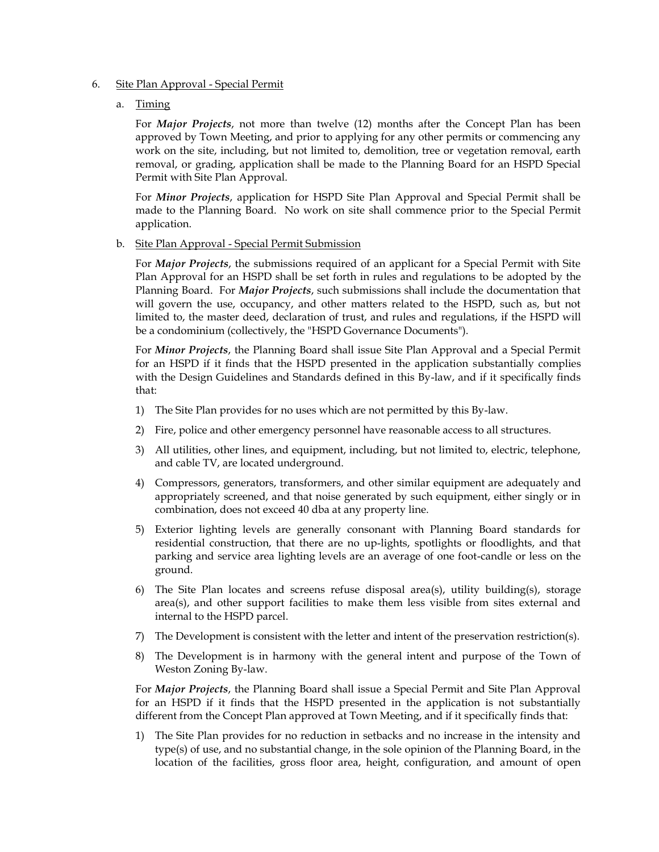- 6. Site Plan Approval Special Permit
	- a. Timing

 For *Major Projects*, not more than twelve (12) months after the Concept Plan has been approved by Town Meeting, and prior to applying for any other permits or commencing any work on the site, including, but not limited to, demolition, tree or vegetation removal, earth removal, or grading, application shall be made to the Planning Board for an HSPD Special Permit with Site Plan Approval.

 For *Minor Projects*, application for HSPD Site Plan Approval and Special Permit shall be made to the Planning Board. No work on site shall commence prior to the Special Permit application.

b. Site Plan Approval - Special Permit Submission

 For *Major Projects*, the submissions required of an applicant for a Special Permit with Site Plan Approval for an HSPD shall be set forth in rules and regulations to be adopted by the Planning Board. For *Major Projects*, such submissions shall include the documentation that will govern the use, occupancy, and other matters related to the HSPD, such as, but not limited to, the master deed, declaration of trust, and rules and regulations, if the HSPD will be a condominium (collectively, the "HSPD Governance Documents").

 For *Minor Projects*, the Planning Board shall issue Site Plan Approval and a Special Permit for an HSPD if it finds that the HSPD presented in the application substantially complies with the Design Guidelines and Standards defined in this By-law, and if it specifically finds that:

- 1) The Site Plan provides for no uses which are not permitted by this By-law.
- 2) Fire, police and other emergency personnel have reasonable access to all structures.
- 3) All utilities, other lines, and equipment, including, but not limited to, electric, telephone, and cable TV, are located underground.
- 4) Compressors, generators, transformers, and other similar equipment are adequately and appropriately screened, and that noise generated by such equipment, either singly or in combination, does not exceed 40 dba at any property line.
- 5) Exterior lighting levels are generally consonant with Planning Board standards for residential construction, that there are no up-lights, spotlights or floodlights, and that parking and service area lighting levels are an average of one foot-candle or less on the ground.
- 6) The Site Plan locates and screens refuse disposal area(s), utility building(s), storage area(s), and other support facilities to make them less visible from sites external and internal to the HSPD parcel.
- 7) The Development is consistent with the letter and intent of the preservation restriction(s).
- 8) The Development is in harmony with the general intent and purpose of the Town of Weston Zoning By-law.

 For *Major Projects*, the Planning Board shall issue a Special Permit and Site Plan Approval for an HSPD if it finds that the HSPD presented in the application is not substantially different from the Concept Plan approved at Town Meeting, and if it specifically finds that:

1) The Site Plan provides for no reduction in setbacks and no increase in the intensity and type(s) of use, and no substantial change, in the sole opinion of the Planning Board, in the location of the facilities, gross floor area, height, configuration, and amount of open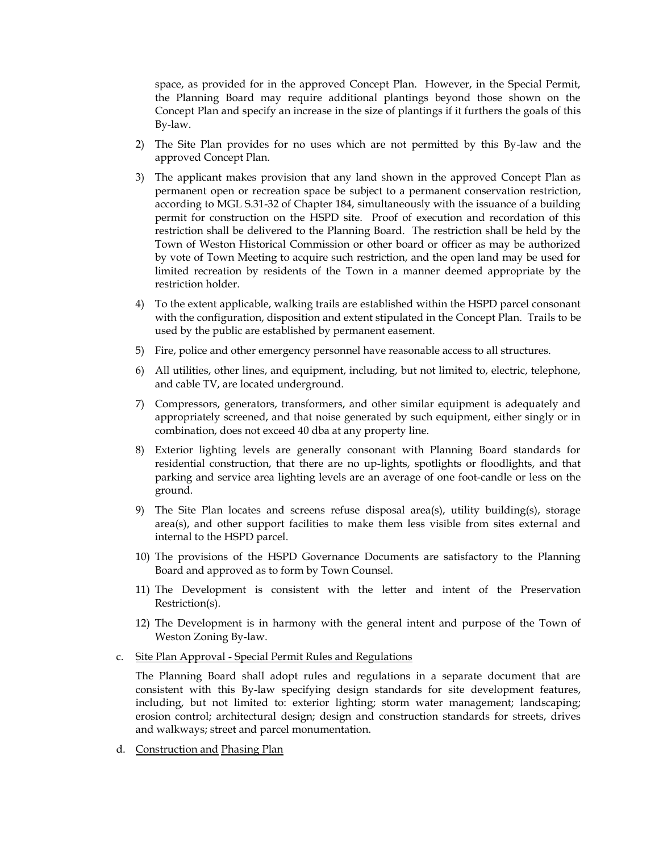space, as provided for in the approved Concept Plan. However, in the Special Permit, the Planning Board may require additional plantings beyond those shown on the Concept Plan and specify an increase in the size of plantings if it furthers the goals of this By-law.

- 2) The Site Plan provides for no uses which are not permitted by this By-law and the approved Concept Plan.
- 3) The applicant makes provision that any land shown in the approved Concept Plan as permanent open or recreation space be subject to a permanent conservation restriction, according to MGL S.31-32 of Chapter 184, simultaneously with the issuance of a building permit for construction on the HSPD site. Proof of execution and recordation of this restriction shall be delivered to the Planning Board. The restriction shall be held by the Town of Weston Historical Commission or other board or officer as may be authorized by vote of Town Meeting to acquire such restriction, and the open land may be used for limited recreation by residents of the Town in a manner deemed appropriate by the restriction holder.
- 4) To the extent applicable, walking trails are established within the HSPD parcel consonant with the configuration, disposition and extent stipulated in the Concept Plan. Trails to be used by the public are established by permanent easement.
- 5) Fire, police and other emergency personnel have reasonable access to all structures.
- 6) All utilities, other lines, and equipment, including, but not limited to, electric, telephone, and cable TV, are located underground.
- 7) Compressors, generators, transformers, and other similar equipment is adequately and appropriately screened, and that noise generated by such equipment, either singly or in combination, does not exceed 40 dba at any property line.
- 8) Exterior lighting levels are generally consonant with Planning Board standards for residential construction, that there are no up-lights, spotlights or floodlights, and that parking and service area lighting levels are an average of one foot-candle or less on the ground.
- 9) The Site Plan locates and screens refuse disposal area(s), utility building(s), storage area(s), and other support facilities to make them less visible from sites external and internal to the HSPD parcel.
- 10) The provisions of the HSPD Governance Documents are satisfactory to the Planning Board and approved as to form by Town Counsel.
- 11) The Development is consistent with the letter and intent of the Preservation Restriction(s).
- 12) The Development is in harmony with the general intent and purpose of the Town of Weston Zoning By-law.
- c. Site Plan Approval Special Permit Rules and Regulations

The Planning Board shall adopt rules and regulations in a separate document that are consistent with this By-law specifying design standards for site development features, including, but not limited to: exterior lighting; storm water management; landscaping; erosion control; architectural design; design and construction standards for streets, drives and walkways; street and parcel monumentation.

d. Construction and Phasing Plan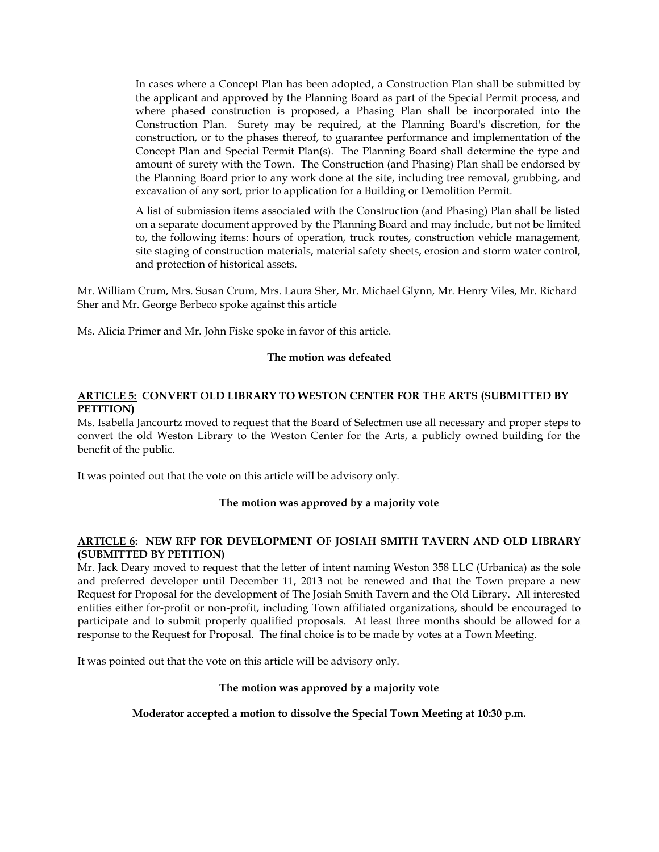In cases where a Concept Plan has been adopted, a Construction Plan shall be submitted by the applicant and approved by the Planning Board as part of the Special Permit process, and where phased construction is proposed, a Phasing Plan shall be incorporated into the Construction Plan. Surety may be required, at the Planning Board's discretion, for the construction, or to the phases thereof, to guarantee performance and implementation of the Concept Plan and Special Permit Plan(s). The Planning Board shall determine the type and amount of surety with the Town. The Construction (and Phasing) Plan shall be endorsed by the Planning Board prior to any work done at the site, including tree removal, grubbing, and excavation of any sort, prior to application for a Building or Demolition Permit.

A list of submission items associated with the Construction (and Phasing) Plan shall be listed on a separate document approved by the Planning Board and may include, but not be limited to, the following items: hours of operation, truck routes, construction vehicle management, site staging of construction materials, material safety sheets, erosion and storm water control, and protection of historical assets.

Mr. William Crum, Mrs. Susan Crum, Mrs. Laura Sher, Mr. Michael Glynn, Mr. Henry Viles, Mr. Richard Sher and Mr. George Berbeco spoke against this article

Ms. Alicia Primer and Mr. John Fiske spoke in favor of this article.

# **The motion was defeated**

# **ARTICLE 5: CONVERT OLD LIBRARY TO WESTON CENTER FOR THE ARTS (SUBMITTED BY PETITION)**

Ms. Isabella Jancourtz moved to request that the Board of Selectmen use all necessary and proper steps to convert the old Weston Library to the Weston Center for the Arts, a publicly owned building for the benefit of the public.

It was pointed out that the vote on this article will be advisory only.

### **The motion was approved by a majority vote**

# **ARTICLE 6: NEW RFP FOR DEVELOPMENT OF JOSIAH SMITH TAVERN AND OLD LIBRARY (SUBMITTED BY PETITION)**

Mr. Jack Deary moved to request that the letter of intent naming Weston 358 LLC (Urbanica) as the sole and preferred developer until December 11, 2013 not be renewed and that the Town prepare a new Request for Proposal for the development of The Josiah Smith Tavern and the Old Library. All interested entities either for-profit or non-profit, including Town affiliated organizations, should be encouraged to participate and to submit properly qualified proposals. At least three months should be allowed for a response to the Request for Proposal. The final choice is to be made by votes at a Town Meeting.

It was pointed out that the vote on this article will be advisory only.

### **The motion was approved by a majority vote**

**Moderator accepted a motion to dissolve the Special Town Meeting at 10:30 p.m.**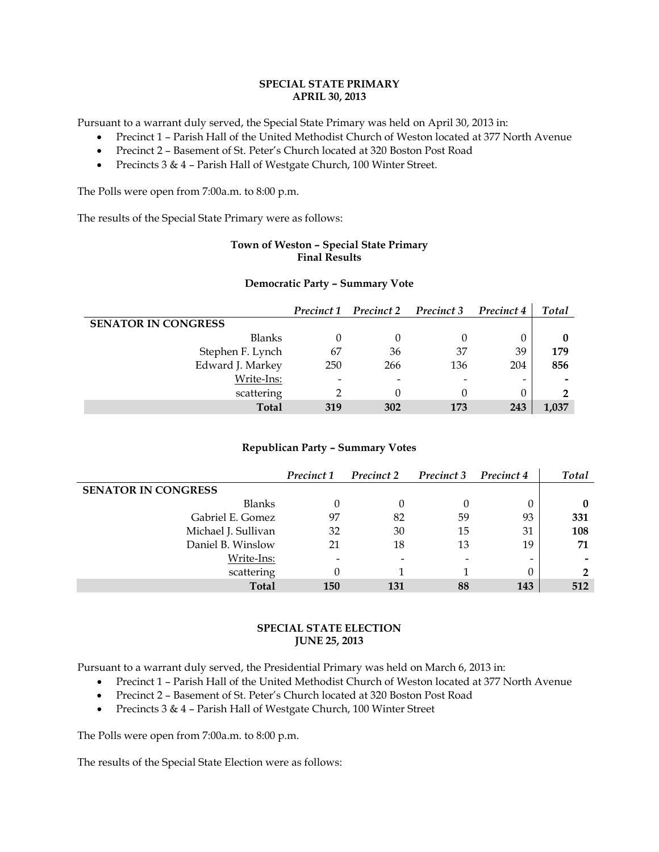### **SPECIAL STATE PRIMARY APRIL 30, 2013**

Pursuant to a warrant duly served, the Special State Primary was held on April 30, 2013 in:

- Precinct 1 Parish Hall of the United Methodist Church of Weston located at 377 North Avenue
- Precinct 2 Basement of St. Peter's Church located at 320 Boston Post Road
- Precincts 3 & 4 Parish Hall of Westgate Church, 100 Winter Street.

The Polls were open from 7:00a.m. to 8:00 p.m.

The results of the Special State Primary were as follows:

# **Town of Weston – Special State Primary Final Results**

#### **Democratic Party – Summary Vote**

|                            |     | Precinct 1 Precinct 2 Precinct 3 |     | Precinct 4               | <b>Total</b> |
|----------------------------|-----|----------------------------------|-----|--------------------------|--------------|
| <b>SENATOR IN CONGRESS</b> |     |                                  |     |                          |              |
| <b>Blanks</b>              |     |                                  |     |                          |              |
| Stephen F. Lynch           | 67  | 36                               | 37  | 39                       | 179          |
| Edward J. Markey           | 250 | 266                              | 136 | 204                      | 856          |
| Write-Ins:                 |     |                                  |     | $\overline{\phantom{0}}$ | -            |
| scattering                 |     |                                  |     |                          |              |
| <b>Total</b>               | 319 | 302                              | 173 | 243                      | 1,037        |

### **Republican Party – Summary Votes**

|                            | Precinct 1 | Precinct 2 | Precinct 3 | Precinct 4 | <b>Total</b> |
|----------------------------|------------|------------|------------|------------|--------------|
| <b>SENATOR IN CONGRESS</b> |            |            |            |            |              |
| Blanks                     |            |            | 0          | 0          | 0            |
| Gabriel E. Gomez           | 97         | 82         | 59         | 93         | 331          |
| Michael J. Sullivan        | 32         | 30         | 15         | 31         | 108          |
| Daniel B. Winslow          | 21         | 18         | 13         | 19         | 71           |
| Write-Ins:                 |            |            |            |            |              |
| scattering                 |            |            |            |            | າ            |
| <b>Total</b>               | <b>150</b> | 131        | 88         | 143        | 512          |

### **SPECIAL STATE ELECTION JUNE 25, 2013**

Pursuant to a warrant duly served, the Presidential Primary was held on March 6, 2013 in:

- Precinct 1 Parish Hall of the United Methodist Church of Weston located at 377 North Avenue
- Precinct 2 Basement of St. Peter's Church located at 320 Boston Post Road
- Precincts 3 & 4 Parish Hall of Westgate Church, 100 Winter Street

The Polls were open from 7:00a.m. to 8:00 p.m.

The results of the Special State Election were as follows: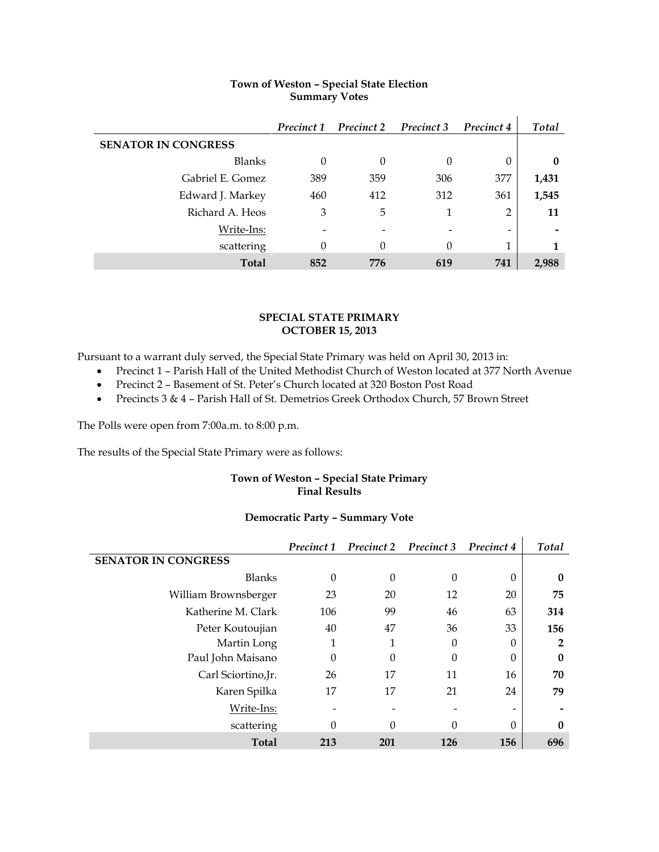|                            | Precinct 1 | <b>Precinct 2</b> Precinct 3 |     | Precinct 4                   | Total    |
|----------------------------|------------|------------------------------|-----|------------------------------|----------|
| <b>SENATOR IN CONGRESS</b> |            |                              |     |                              |          |
| Blanks                     | 0          | 0                            | 0   | $\theta$                     | $\bf{0}$ |
| Gabriel E. Gomez           | 389        | 359                          | 306 | 377                          | 1,431    |
| Edward J. Markey           | 460        | 412                          | 312 | 361                          | 1,545    |
| Richard A. Heos            | 3          | 5                            | 1   | 2                            | 11       |
| Write-Ins:                 |            |                              |     | $\qquad \qquad \blacksquare$ |          |
| scattering                 | 0          | $\Omega$                     | 0   | 1                            | 1        |
| <b>Total</b>               | 852        | 776                          | 619 | 741                          | 2,988    |

# **Town of Weston – Special State Election Summary Votes**

### **SPECIAL STATE PRIMARY OCTOBER 15, 2013**

Pursuant to a warrant duly served, the Special State Primary was held on April 30, 2013 in:

- Precinct 1 Parish Hall of the United Methodist Church of Weston located at 377 North Avenue
- Precinct 2 Basement of St. Peter's Church located at 320 Boston Post Road
- Precincts 3 & 4 Parish Hall of St. Demetrios Greek Orthodox Church, 57 Brown Street

The Polls were open from 7:00a.m. to 8:00 p.m.

The results of the Special State Primary were as follows:

# **Town of Weston – Special State Primary Final Results**

# **Democratic Party – Summary Vote**

|                            | Precinct 1 | Precinct 2 | Precinct 3 | Precinct 4               | <b>Total</b>   |
|----------------------------|------------|------------|------------|--------------------------|----------------|
| <b>SENATOR IN CONGRESS</b> |            |            |            |                          |                |
| <b>Blanks</b>              | 0          | $\Omega$   | $\Omega$   | 0                        | 0              |
| William Brownsberger       | 23         | 20         | 12         | 20                       | 75             |
| Katherine M. Clark         | 106        | 99         | 46         | 63                       | 314            |
| Peter Koutoujian           | 40         | 47         | 36         | 33                       | 156            |
| Martin Long                | 1          |            | $\Omega$   | 0                        | $\overline{2}$ |
| Paul John Maisano          | $\Omega$   | $\Omega$   | $\Omega$   | 0                        | $\bf{0}$       |
| Carl Sciortino, Jr.        | 26         | 17         | 11         | 16                       | 70             |
| Karen Spilka               | 17         | 17         | 21         | 24                       | 79             |
| Write-Ins:                 |            |            |            | $\overline{\phantom{0}}$ |                |
| scattering                 | 0          | $\Omega$   | 0          | $\Omega$                 | 0              |
| <b>Total</b>               | 213        | 201        | 126        | 156                      | 696            |